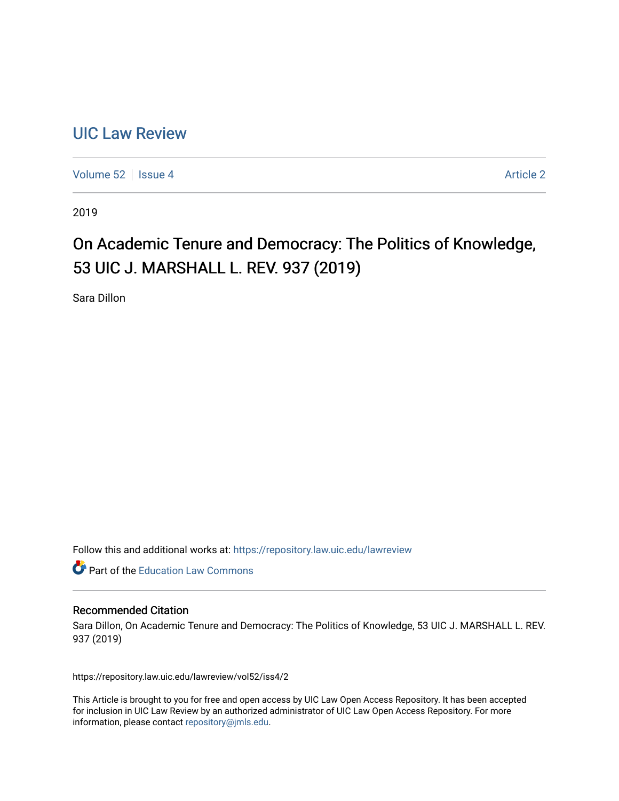# [UIC Law Review](https://repository.law.uic.edu/lawreview)

[Volume 52](https://repository.law.uic.edu/lawreview/vol52) | [Issue 4](https://repository.law.uic.edu/lawreview/vol52/iss4) [Article 2](https://repository.law.uic.edu/lawreview/vol52/iss4/2) | Article 2 Article 2 | Article 2 | Article 2 | Article 2 | Article 2 | Article 2

2019

# On Academic Tenure and Democracy: The Politics of Knowledge, 53 UIC J. MARSHALL L. REV. 937 (2019)

Sara Dillon

Follow this and additional works at: [https://repository.law.uic.edu/lawreview](https://repository.law.uic.edu/lawreview?utm_source=repository.law.uic.edu%2Flawreview%2Fvol52%2Fiss4%2F2&utm_medium=PDF&utm_campaign=PDFCoverPages) 

**Part of the Education Law Commons** 

#### Recommended Citation

Sara Dillon, On Academic Tenure and Democracy: The Politics of Knowledge, 53 UIC J. MARSHALL L. REV. 937 (2019)

https://repository.law.uic.edu/lawreview/vol52/iss4/2

This Article is brought to you for free and open access by UIC Law Open Access Repository. It has been accepted for inclusion in UIC Law Review by an authorized administrator of UIC Law Open Access Repository. For more information, please contact [repository@jmls.edu.](mailto:repository@jmls.edu)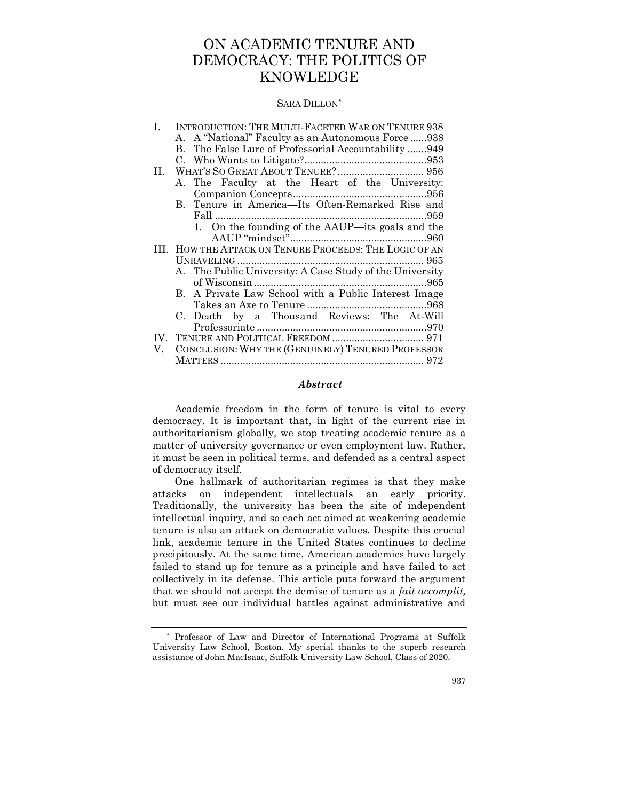# ON ACADEMIC TENURE AND DEMOCRACY: THE POLITICS OF KNOWLEDGE

#### SARA DILLON\*

| L. | INTRODUCTION: THE MULTI-FACETED WAR ON TENURE 938        |
|----|----------------------------------------------------------|
|    | A. A "National" Faculty as an Autonomous Force 938       |
|    | The False Lure of Professorial Accountability 949<br>B.  |
|    |                                                          |
| Н. |                                                          |
|    | A. The Faculty at the Heart of the University:           |
|    |                                                          |
|    | B. Tenure in America—Its Often-Remarked Rise and         |
|    |                                                          |
|    | 1. On the founding of the AAUP-its goals and the         |
|    |                                                          |
|    | III. HOW THE ATTACK ON TENURE PROCEEDS: THE LOGIC OF AN  |
|    |                                                          |
|    | A. The Public University: A Case Study of the University |
|    |                                                          |
|    | B. A Private Law School with a Public Interest Image     |
|    |                                                          |
|    | C. Death by a Thousand Reviews: The At-Will              |
|    |                                                          |
|    |                                                          |
| V. | CONCLUSION: WHY THE (GENUINELY) TENURED PROFESSOR        |
|    |                                                          |

#### *Abstract*

Academic freedom in the form of tenure is vital to every democracy. It is important that, in light of the current rise in authoritarianism globally, we stop treating academic tenure as a matter of university governance or even employment law. Rather, it must be seen in political terms, and defended as a central aspect of democracy itself.

One hallmark of authoritarian regimes is that they make attacks on independent intellectuals an early priority. Traditionally, the university has been the site of independent intellectual inquiry, and so each act aimed at weakening academic tenure is also an attack on democratic values. Despite this crucial link, academic tenure in the United States continues to decline precipitously. At the same time, American academics have largely failed to stand up for tenure as a principle and have failed to act collectively in its defense. This article puts forward the argument that we should not accept the demise of tenure as a *fait accomplit,*  but must see our individual battles against administrative and

<sup>\*</sup> Professor of Law and Director of International Programs at Suffolk University Law School, Boston. My special thanks to the superb research assistance of John MacIsaac, Suffolk University Law School, Class of 2020.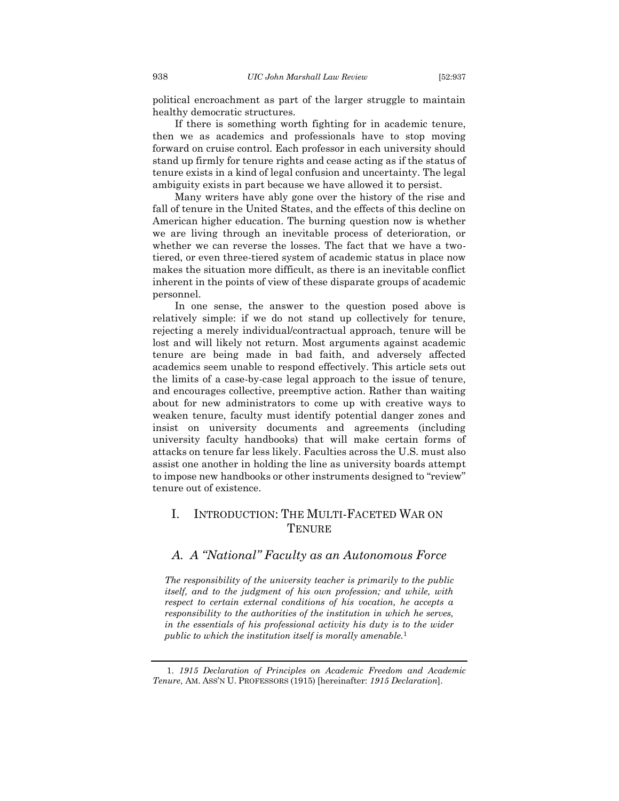political encroachment as part of the larger struggle to maintain healthy democratic structures.

If there is something worth fighting for in academic tenure, then we as academics and professionals have to stop moving forward on cruise control. Each professor in each university should stand up firmly for tenure rights and cease acting as if the status of tenure exists in a kind of legal confusion and uncertainty. The legal ambiguity exists in part because we have allowed it to persist.

Many writers have ably gone over the history of the rise and fall of tenure in the United States, and the effects of this decline on American higher education. The burning question now is whether we are living through an inevitable process of deterioration, or whether we can reverse the losses. The fact that we have a twotiered, or even three-tiered system of academic status in place now makes the situation more difficult, as there is an inevitable conflict inherent in the points of view of these disparate groups of academic personnel.

In one sense, the answer to the question posed above is relatively simple: if we do not stand up collectively for tenure, rejecting a merely individual/contractual approach, tenure will be lost and will likely not return. Most arguments against academic tenure are being made in bad faith, and adversely affected academics seem unable to respond effectively. This article sets out the limits of a case-by-case legal approach to the issue of tenure, and encourages collective, preemptive action. Rather than waiting about for new administrators to come up with creative ways to weaken tenure, faculty must identify potential danger zones and insist on university documents and agreements (including university faculty handbooks) that will make certain forms of attacks on tenure far less likely. Faculties across the U.S. must also assist one another in holding the line as university boards attempt to impose new handbooks or other instruments designed to "review" tenure out of existence.

# <span id="page-2-0"></span>I. INTRODUCTION: THE MULTI-FACETED WAR ON **TENURE**

#### <span id="page-2-2"></span><span id="page-2-1"></span>*A. A "National" Faculty as an Autonomous Force*

*The responsibility of the university teacher is primarily to the public itself, and to the judgment of his own profession; and while, with respect to certain external conditions of his vocation, he accepts a responsibility to the authorities of the institution in which he serves, in the essentials of his professional activity his duty is to the wider public to which the institution itself is morally amenable.*<sup>1</sup>

<sup>1.</sup> *1915 Declaration of Principles on Academic Freedom and Academic Tenure*, AM. ASS'N U. PROFESSORS (1915) [hereinafter: *1915 Declaration*].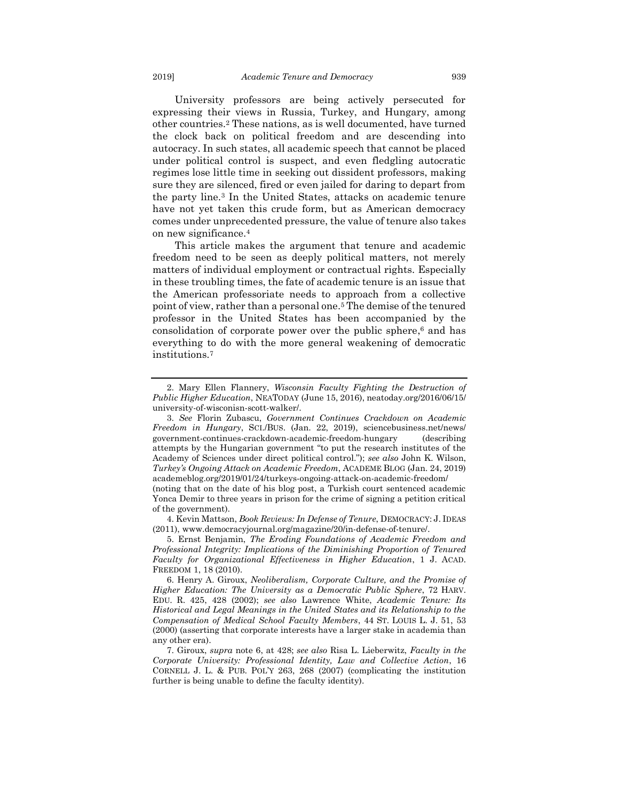University professors are being actively persecuted for expressing their views in Russia, Turkey, and Hungary, among other countries.<sup>2</sup> These nations, as is well documented, have turned the clock back on political freedom and are descending into autocracy. In such states, all academic speech that cannot be placed under political control is suspect, and even fledgling autocratic regimes lose little time in seeking out dissident professors, making sure they are silenced, fired or even jailed for daring to depart from the party line.<sup>3</sup> In the United States, attacks on academic tenure have not yet taken this crude form, but as American democracy comes under unprecedented pressure, the value of tenure also takes on new significance.<sup>4</sup>

<span id="page-3-1"></span>This article makes the argument that tenure and academic freedom need to be seen as deeply political matters, not merely matters of individual employment or contractual rights. Especially in these troubling times, the fate of academic tenure is an issue that the American professoriate needs to approach from a collective point of view, rather than a personal one. <sup>5</sup> The demise of the tenured professor in the United States has been accompanied by the consolidation of corporate power over the public sphere, <sup>6</sup> and has everything to do with the more general weakening of democratic institutions.<sup>7</sup>

4. Kevin Mattson, *Book Reviews: In Defense of Tenure*, DEMOCRACY: J. IDEAS (2011), www.democracyjournal.org/magazine/20/in-defense-of-tenure/.

5. Ernst Benjamin, *The Eroding Foundations of Academic Freedom and Professional Integrity: Implications of the Diminishing Proportion of Tenured Faculty for Organizational Effectiveness in Higher Education*, 1 J. ACAD. FREEDOM 1, 18 (2010).

6. Henry A. Giroux, *Neoliberalism, Corporate Culture, and the Promise of Higher Education: The University as a Democratic Public Sphere*, 72 HARV. EDU. R. 425, 428 (2002); *see also* Lawrence White, *Academic Tenure: Its Historical and Legal Meanings in the United States and its Relationship to the Compensation of Medical School Faculty Members*, 44 ST. LOUIS L. J. 51, 53 (2000) (asserting that corporate interests have a larger stake in academia than any other era).

7. Giroux, *supra* note [6,](#page-3-0) at 428; *see also* Risa L. Lieberwitz, *Faculty in the Corporate University: Professional Identity, Law and Collective Action*, 16 CORNELL J. L. & PUB. POL'Y 263, 268 (2007) (complicating the institution further is being unable to define the faculty identity).

<span id="page-3-2"></span><span id="page-3-0"></span><sup>2.</sup> Mary Ellen Flannery, *Wisconsin Faculty Fighting the Destruction of Public Higher Education*, NEATODAY (June 15, 2016), neatoday.org/2016/06/15/ university-of-wisconisn-scott-walker/.

<sup>3.</sup> *See* Florin Zubascu, *Government Continues Crackdown on Academic Freedom in Hungary*, SCI./BUS. (Jan. 22, 2019), sciencebusiness.net/news/ government-continues-crackdown-academic-freedom-hungary (describing attempts by the Hungarian government "to put the research institutes of the Academy of Sciences under direct political control."); *see also* John K. Wilson, *Turkey's Ongoing Attack on Academic Freedom*, ACADEME BLOG (Jan. 24, 2019) academeblog.org/2019/01/24/turkeys-ongoing-attack-on-academic-freedom/

<sup>(</sup>noting that on the date of his blog post, a Turkish court sentenced academic Yonca Demir to three years in prison for the crime of signing a petition critical of the government).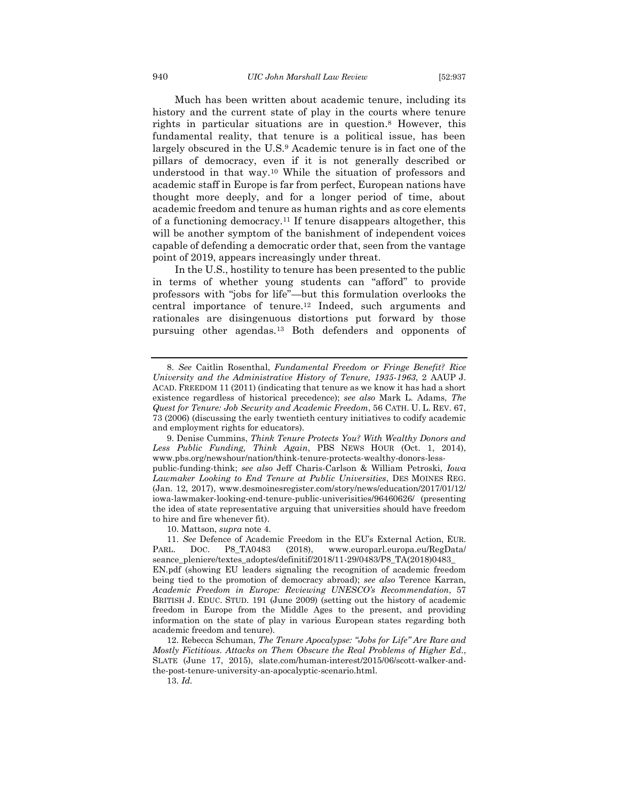<span id="page-4-4"></span><span id="page-4-3"></span><span id="page-4-1"></span>Much has been written about academic tenure, including its history and the current state of play in the courts where tenure rights in particular situations are in question. <sup>8</sup> However, this fundamental reality, that tenure is a political issue, has been largely obscured in the U.S.<sup>9</sup> Academic tenure is in fact one of the pillars of democracy, even if it is not generally described or understood in that way.<sup>10</sup> While the situation of professors and academic staff in Europe is far from perfect, European nations have thought more deeply, and for a longer period of time, about academic freedom and tenure as human rights and as core elements of a functioning democracy.<sup>11</sup> If tenure disappears altogether, this will be another symptom of the banishment of independent voices capable of defending a democratic order that, seen from the vantage point of 2019, appears increasingly under threat.

<span id="page-4-5"></span><span id="page-4-2"></span><span id="page-4-0"></span>In the U.S., hostility to tenure has been presented to the public in terms of whether young students can "afford" to provide professors with "jobs for life"—but this formulation overlooks the central importance of tenure.<sup>12</sup> Indeed, such arguments and rationales are disingenuous distortions put forward by those pursuing other agendas.<sup>13</sup> Both defenders and opponents of

10. Mattson, *supra* note 4.

<sup>8.</sup> *See* Caitlin Rosenthal, *Fundamental Freedom or Fringe Benefit? Rice University and the Administrative History of Tenure, 1935-1963*, 2 AAUP J. ACAD. FREEDOM 11 (2011) (indicating that tenure as we know it has had a short existence regardless of historical precedence); *see also* Mark L. Adams, *The Quest for Tenure: Job Security and Academic Freedom*, 56 CATH. U. L. REV. 67, 73 (2006) (discussing the early twentieth century initiatives to codify academic and employment rights for educators).

<sup>9.</sup> Denise Cummins, *Think Tenure Protects You? With Wealthy Donors and Less Public Funding, Think Again*, PBS NEWS HOUR (Oct. 1, 2014), www.pbs.org/newshour/nation/think-tenure-protects-wealthy-donors-lesspublic-funding-think; *see also* Jeff Charis-Carlson & William Petroski, *Iowa Lawmaker Looking to End Tenure at Public Universities*, DES MOINES REG. (Jan. 12, 2017), www.desmoinesregister.com/story/news/education/2017/01/12/ iowa-lawmaker-looking-end-tenure-public-univerisities/96460626/ (presenting the idea of state representative arguing that universities should have freedom to hire and fire whenever fit).

<sup>11.</sup> *See* Defence of Academic Freedom in the EU's External Action, EUR. PARL. DOC. P8\_TA0483 (2018), www.europarl.europa.eu/RegData/ seance\_pleniere/textes\_adoptes/definitif/2018/11-29/0483/P8\_TA(2018)0483\_ EN.pdf (showing EU leaders signaling the recognition of academic freedom being tied to the promotion of democracy abroad); *see also* Terence Karran, *Academic Freedom in Europe: Reviewing UNESCO's Recommendation*, 57 BRITISH J. EDUC. STUD. 191 (June 2009) (setting out the history of academic freedom in Europe from the Middle Ages to the present, and providing information on the state of play in various European states regarding both academic freedom and tenure).

<sup>12.</sup> Rebecca Schuman, *The Tenure Apocalypse: "Jobs for Life" Are Rare and Mostly Fictitious. Attacks on Them Obscure the Real Problems of Higher Ed.*, SLATE (June 17, 2015), slate.com/human-interest/2015/06/scott-walker-andthe-post-tenure-university-an-apocalyptic-scenario.html.

<sup>13.</sup> *Id.*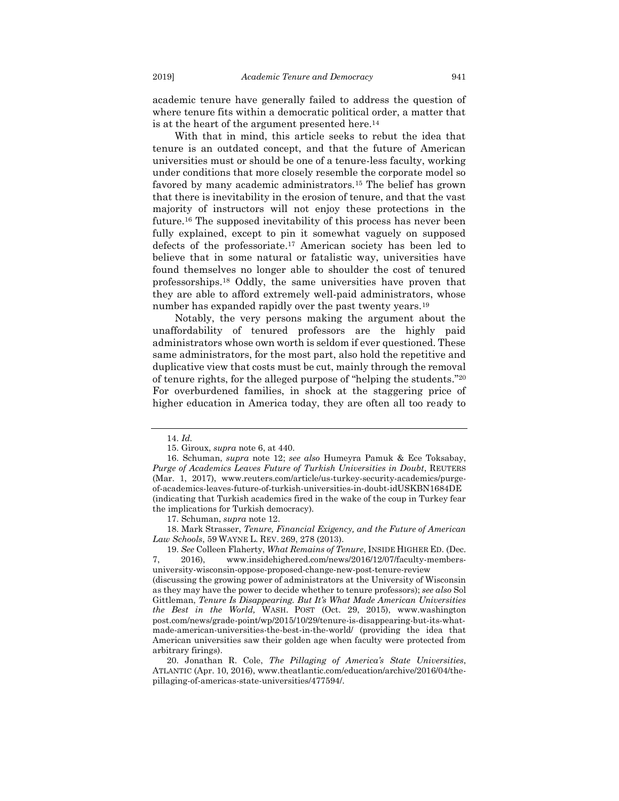academic tenure have generally failed to address the question of where tenure fits within a democratic political order, a matter that is at the heart of the argument presented here.<sup>14</sup>

With that in mind, this article seeks to rebut the idea that tenure is an outdated concept, and that the future of American universities must or should be one of a tenure-less faculty, working under conditions that more closely resemble the corporate model so favored by many academic administrators.<sup>15</sup> The belief has grown that there is inevitability in the erosion of tenure, and that the vast majority of instructors will not enjoy these protections in the future.<sup>16</sup> The supposed inevitability of this process has never been fully explained, except to pin it somewhat vaguely on supposed defects of the professoriate. <sup>17</sup> American society has been led to believe that in some natural or fatalistic way, universities have found themselves no longer able to shoulder the cost of tenured professorships.<sup>18</sup> Oddly, the same universities have proven that they are able to afford extremely well-paid administrators, whose number has expanded rapidly over the past twenty years.<sup>19</sup>

<span id="page-5-0"></span>Notably, the very persons making the argument about the unaffordability of tenured professors are the highly paid administrators whose own worth is seldom if ever questioned. These same administrators, for the most part, also hold the repetitive and duplicative view that costs must be cut, mainly through the removal of tenure rights, for the alleged purpose of "helping the students." 20 For overburdened families, in shock at the staggering price of higher education in America today, they are often all too ready to

17. Schuman, *supra* not[e 12.](#page-4-0)

18. Mark Strasser, *Tenure, Financial Exigency, and the Future of American Law Schools*, 59 WAYNE L. REV. 269, 278 (2013).

19. *See* Colleen Flaherty, *What Remains of Tenure*, INSIDE HIGHER ED. (Dec. 7, 2016), www.insidehighered.com/news/2016/12/07/faculty-membersuniversity-wisconsin-oppose-proposed-change-new-post-tenure-review (discussing the growing power of administrators at the University of Wisconsin as they may have the power to decide whether to tenure professors); *see also* Sol Gittleman, *Tenure Is Disappearing. But It's What Made American Universities the Best in the World,* WASH. POST (Oct. 29, 2015), www.washington post.com/news/grade-point/wp/2015/10/29/tenure-is-disappearing-but-its-whatmade-american-universities-the-best-in-the-world/ (providing the idea that American universities saw their golden age when faculty were protected from arbitrary firings).

20. Jonathan R. Cole, *The Pillaging of America's State Universities*, ATLANTIC (Apr. 10, 2016), www.theatlantic.com/education/archive/2016/04/thepillaging-of-americas-state-universities/477594/.

<sup>14.</sup> *Id.*

<sup>15.</sup> Giroux, *supra* not[e 6,](#page-3-0) at 440.

<sup>16.</sup> Schuman, *supra* note [12;](#page-4-0) *see also* Humeyra Pamuk & Ece Toksabay, *Purge of Academics Leaves Future of Turkish Universities in Doubt*, REUTERS (Mar. 1, 2017), www.reuters.com/article/us-turkey-security-academics/purgeof-academics-leaves-future-of-turkish-universities-in-doubt-idUSKBN1684DE (indicating that Turkish academics fired in the wake of the coup in Turkey fear the implications for Turkish democracy).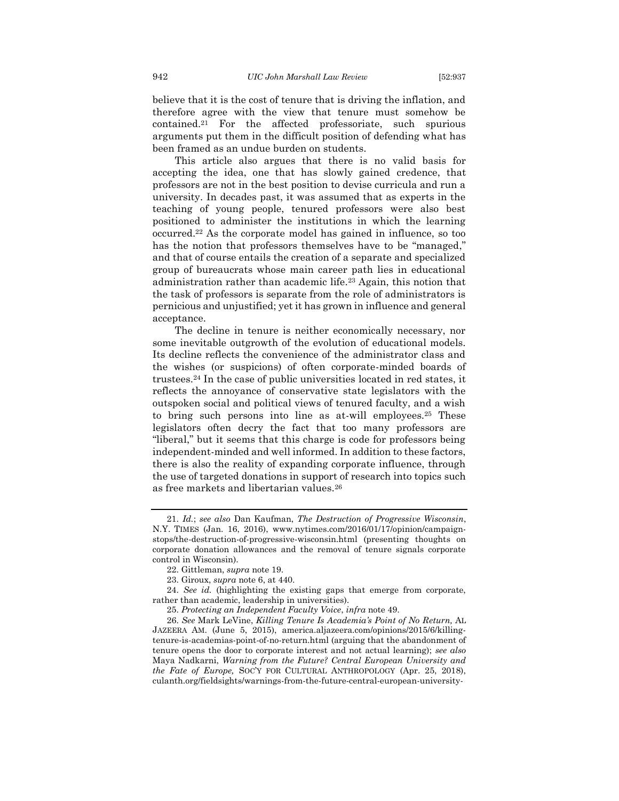<span id="page-6-0"></span>believe that it is the cost of tenure that is driving the inflation, and therefore agree with the view that tenure must somehow be contained.<sup>21</sup> For the affected professoriate, such spurious arguments put them in the difficult position of defending what has been framed as an undue burden on students.

This article also argues that there is no valid basis for accepting the idea, one that has slowly gained credence, that professors are not in the best position to devise curricula and run a university. In decades past, it was assumed that as experts in the teaching of young people, tenured professors were also best positioned to administer the institutions in which the learning occurred.<sup>22</sup> As the corporate model has gained in influence, so too has the notion that professors themselves have to be "managed," and that of course entails the creation of a separate and specialized group of bureaucrats whose main career path lies in educational administration rather than academic life.<sup>23</sup> Again, this notion that the task of professors is separate from the role of administrators is pernicious and unjustified; yet it has grown in influence and general acceptance.

The decline in tenure is neither economically necessary, nor some inevitable outgrowth of the evolution of educational models. Its decline reflects the convenience of the administrator class and the wishes (or suspicions) of often corporate-minded boards of trustees.<sup>24</sup> In the case of public universities located in red states, it reflects the annoyance of conservative state legislators with the outspoken social and political views of tenured faculty, and a wish to bring such persons into line as at-will employees.<sup>25</sup> These legislators often decry the fact that too many professors are "liberal," but it seems that this charge is code for professors being independent-minded and well informed. In addition to these factors, there is also the reality of expanding corporate influence, through the use of targeted donations in support of research into topics such as free markets and libertarian values.<sup>26</sup>

<span id="page-6-1"></span><sup>21.</sup> *Id.*; *see also* Dan Kaufman, *The Destruction of Progressive Wisconsin*, N.Y. TIMES (Jan. 16, 2016), www.nytimes.com/2016/01/17/opinion/campaignstops/the-destruction-of-progressive-wisconsin.html (presenting thoughts on corporate donation allowances and the removal of tenure signals corporate control in Wisconsin).

<sup>22.</sup> Gittleman, *supra* not[e 19.](#page-5-0)

<sup>23.</sup> Giroux, *supra* not[e 6,](#page-3-0) at 440.

<sup>24.</sup> *See id.* (highlighting the existing gaps that emerge from corporate, rather than academic, leadership in universities).

<sup>25.</sup> *Protecting an Independent Faculty Voice*, *infra* not[e 49.](#page-10-0)

<sup>26.</sup> *See* Mark LeVine, *Killing Tenure Is Academia's Point of No Return,* AL JAZEERA AM. (June 5, 2015), america.aljazeera.com/opinions/2015/6/killingtenure-is-academias-point-of-no-return.html (arguing that the abandonment of tenure opens the door to corporate interest and not actual learning); *see also* Maya Nadkarni, *Warning from the Future? Central European University and the Fate of Europe,* SOC'Y FOR CULTURAL ANTHROPOLOGY (Apr. 25, 2018), culanth.org/fieldsights/warnings-from-the-future-central-european-university-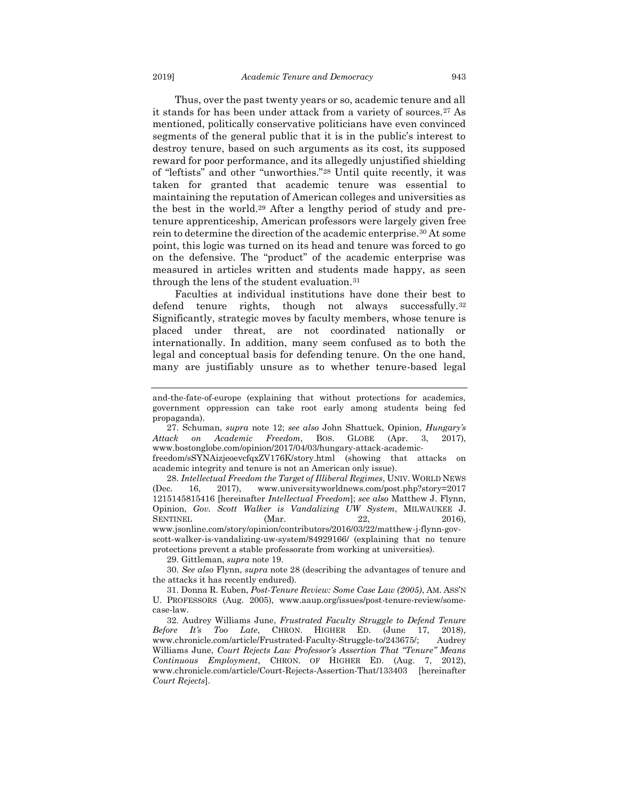<span id="page-7-2"></span><span id="page-7-0"></span>Thus, over the past twenty years or so, academic tenure and all it stands for has been under attack from a variety of sources.<sup>27</sup> As mentioned, politically conservative politicians have even convinced segments of the general public that it is in the public's interest to destroy tenure, based on such arguments as its cost, its supposed reward for poor performance, and its allegedly unjustified shielding of "leftists" and other "unworthies."<sup>28</sup> Until quite recently, it was taken for granted that academic tenure was essential to maintaining the reputation of American colleges and universities as the best in the world.<sup>29</sup> After a lengthy period of study and pretenure apprenticeship, American professors were largely given free rein to determine the direction of the academic enterprise.<sup>30</sup> At some point, this logic was turned on its head and tenure was forced to go on the defensive. The "product" of the academic enterprise was measured in articles written and students made happy, as seen through the lens of the student evaluation.<sup>31</sup>

<span id="page-7-1"></span>Faculties at individual institutions have done their best to defend tenure rights, though not always successfully.<sup>32</sup> Significantly, strategic moves by faculty members, whose tenure is placed under threat, are not coordinated nationally or internationally. In addition, many seem confused as to both the legal and conceptual basis for defending tenure. On the one hand, many are justifiably unsure as to whether tenure-based legal

27. Schuman, *supra* note [12;](#page-4-0) *see also* John Shattuck, Opinion, *Hungary's Attack on Academic Freedom*, BOS. GLOBE (Apr. 3, 2017), www.bostonglobe.com/opinion/2017/04/03/hungary-attack-academicfreedom/sSYNAizjeoevcfqxZV176K/story.html (showing that attacks on academic integrity and tenure is not an American only issue).

28. *Intellectual Freedom the Target of Illiberal Regimes*, UNIV. WORLD NEWS (Dec. 16, 2017), www.universityworldnews.com/post.php?story=2017 1215145815416 [hereinafter *Intellectual Freedom*]; *see also* Matthew J. Flynn, Opinion, *Gov. Scott Walker is Vandalizing UW System*, MILWAUKEE J. SENTINEL (Mar. 22, 2016), www.jsonline.com/story/opinion/contributors/2016/03/22/matthew-j-flynn-govscott-walker-is-vandalizing-uw-system/84929166/ (explaining that no tenure protections prevent a stable professorate from working at universities).

29. Gittleman, *supra* not[e 19.](#page-5-0)

30. *See also* Flynn, *supra* note [28](#page-7-0) (describing the advantages of tenure and the attacks it has recently endured).

31. Donna R. Euben, *Post-Tenure Review: Some Case Law (2005)*, AM. ASS'N U. PROFESSORS (Aug. 2005), www.aaup.org/issues/post-tenure-review/somecase-law.

32. Audrey Williams June, *Frustrated Faculty Struggle to Defend Tenure Before It's Too Late*, CHRON. HIGHER ED. (June 17, 2018), www.chronicle.com/article/Frustrated-Faculty-Struggle-to/243675/; Audrey Williams June, *Court Rejects Law Professor's Assertion That "Tenure" Means Continuous Employment*, CHRON. OF HIGHER ED. (Aug. 7, 2012), www.chronicle.com/article/Court-Rejects-Assertion-That/133403 [hereinafter *Court Rejects*].

and-the-fate-of-europe (explaining that without protections for academics, government oppression can take root early among students being fed propaganda).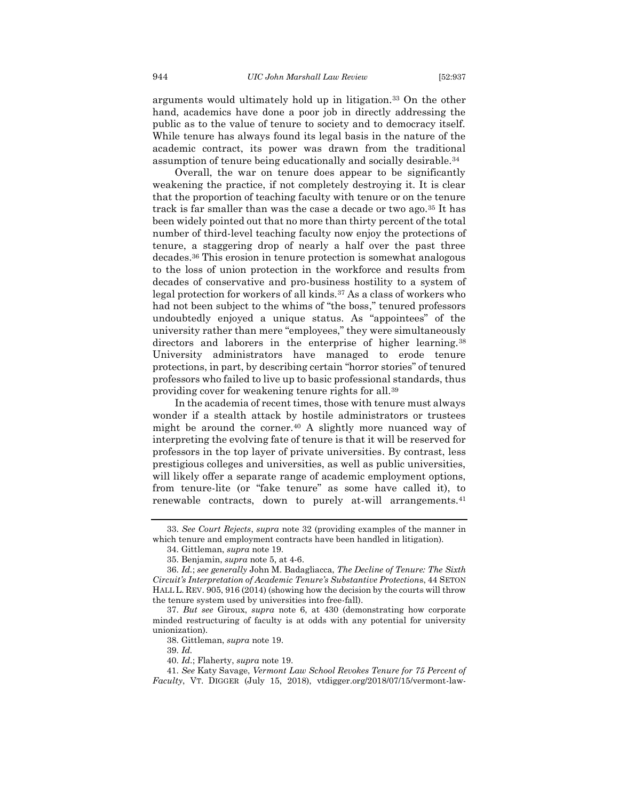arguments would ultimately hold up in litigation.<sup>33</sup> On the other hand, academics have done a poor job in directly addressing the public as to the value of tenure to society and to democracy itself. While tenure has always found its legal basis in the nature of the academic contract, its power was drawn from the traditional assumption of tenure being educationally and socially desirable.<sup>34</sup>

<span id="page-8-1"></span>Overall, the war on tenure does appear to be significantly weakening the practice, if not completely destroying it. It is clear that the proportion of teaching faculty with tenure or on the tenure track is far smaller than was the case a decade or two ago.<sup>35</sup> It has been widely pointed out that no more than thirty percent of the total number of third-level teaching faculty now enjoy the protections of tenure, a staggering drop of nearly a half over the past three decades.<sup>36</sup> This erosion in tenure protection is somewhat analogous to the loss of union protection in the workforce and results from decades of conservative and pro-business hostility to a system of legal protection for workers of all kinds.<sup>37</sup> As a class of workers who had not been subject to the whims of "the boss," tenured professors undoubtedly enjoyed a unique status. As "appointees" of the university rather than mere "employees," they were simultaneously directors and laborers in the enterprise of higher learning.<sup>38</sup> University administrators have managed to erode tenure protections, in part, by describing certain "horror stories" of tenured professors who failed to live up to basic professional standards, thus providing cover for weakening tenure rights for all.<sup>39</sup>

In the academia of recent times, those with tenure must always wonder if a stealth attack by hostile administrators or trustees might be around the corner.<sup>40</sup> A slightly more nuanced way of interpreting the evolving fate of tenure is that it will be reserved for professors in the top layer of private universities. By contrast, less prestigious colleges and universities, as well as public universities, will likely offer a separate range of academic employment options, from tenure-lite (or "fake tenure" as some have called it), to renewable contracts, down to purely at-will arrangements.<sup>41</sup>

39. *Id.* 

<sup>33.</sup> *See Court Rejects*, *supra* not[e 32](#page-7-1) (providing examples of the manner in which tenure and employment contracts have been handled in litigation).

<span id="page-8-0"></span><sup>34.</sup> Gittleman, *supra* not[e 19.](#page-5-0)

<sup>35.</sup> Benjamin, *supra* not[e 5,](#page-3-1) at 4-6.

<sup>36.</sup> *Id.*; *see generally* John M. Badagliacca, *The Decline of Tenure: The Sixth Circuit's Interpretation of Academic Tenure's Substantive Protection*s, 44 SETON HALL L. REV. 905, 916 (2014) (showing how the decision by the courts will throw the tenure system used by universities into free-fall).

<sup>37.</sup> *But see* Giroux, *supra* note [6,](#page-3-0) at 430 (demonstrating how corporate minded restructuring of faculty is at odds with any potential for university unionization).

<sup>38.</sup> Gittleman, *supra* not[e 19.](#page-5-0)

<sup>40.</sup> *Id*.; Flaherty, *supra* note [19.](#page-5-0)

<sup>41.</sup> *See* Katy Savage, *Vermont Law School Revokes Tenure for 75 Percent of Faculty*, VT. DIGGER (July 15, 2018), vtdigger.org/2018/07/15/vermont-law-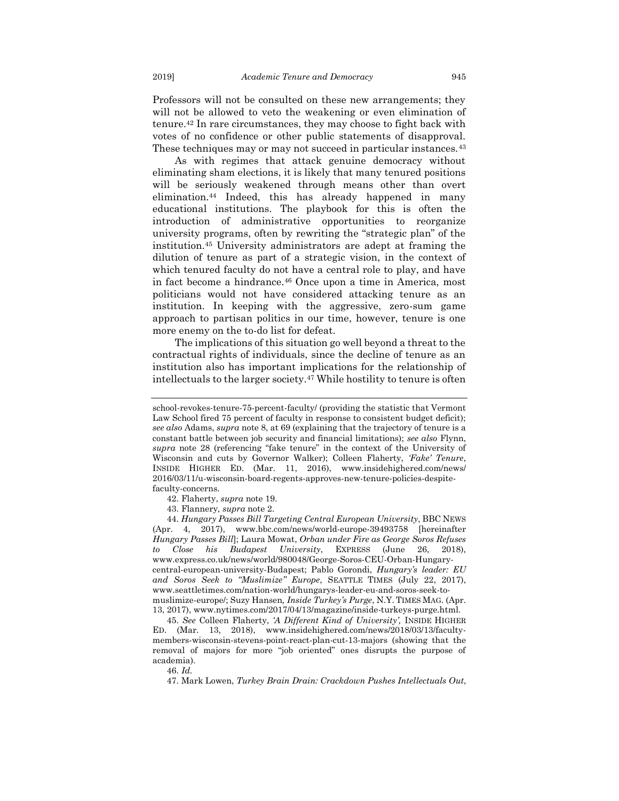Professors will not be consulted on these new arrangements; they will not be allowed to veto the weakening or even elimination of tenure.<sup>42</sup> In rare circumstances, they may choose to fight back with votes of no confidence or other public statements of disapproval. These techniques may or may not succeed in particular instances.<sup>43</sup>

<span id="page-9-1"></span>As with regimes that attack genuine democracy without eliminating sham elections, it is likely that many tenured positions will be seriously weakened through means other than overt elimination.<sup>44</sup> Indeed, this has already happened in many educational institutions. The playbook for this is often the introduction of administrative opportunities to reorganize university programs, often by rewriting the "strategic plan" of the institution.<sup>45</sup> University administrators are adept at framing the dilution of tenure as part of a strategic vision, in the context of which tenured faculty do not have a central role to play, and have in fact become a hindrance.<sup>46</sup> Once upon a time in America, most politicians would not have considered attacking tenure as an institution. In keeping with the aggressive, zero-sum game approach to partisan politics in our time, however, tenure is one more enemy on the to-do list for defeat.

<span id="page-9-0"></span>The implications of this situation go well beyond a threat to the contractual rights of individuals, since the decline of tenure as an institution also has important implications for the relationship of intellectuals to the larger society.<sup>47</sup> While hostility to tenure is often

44. *Hungary Passes Bill Targeting Central European University*, BBC NEWS (Apr. 4, 2017), www.bbc.com/news/world-europe-39493758 [hereinafter *Hungary Passes Bill*]; Laura Mowat, *Orban under Fire as George Soros Refuses to Close his Budapest University*, EXPRESS (June 26, 2018), www.express.co.uk/news/world/980048/George-Soros-CEU-Orban-Hungarycentral-european-university-Budapest; Pablo Gorondi, *Hungary's leader: EU and Soros Seek to "Muslimize" Europe*, SEATTLE TIMES (July 22, 2017), www.seattletimes.com/nation-world/hungarys-leader-eu-and-soros-seek-tomuslimize-europe/; Suzy Hansen*, Inside Turkey's Purge*, N.Y. TIMES MAG. (Apr. 13, 2017), www.nytimes.com/2017/04/13/magazine/inside-turkeys-purge.html.

45. *See* Colleen Flaherty, *'A Different Kind of University',* INSIDE HIGHER ED. (Mar. 13, 2018), www.insidehighered.com/news/2018/03/13/facultymembers-wisconsin-stevens-point-react-plan-cut-13-majors (showing that the removal of majors for more "job oriented" ones disrupts the purpose of academia).

46. *Id.*

school-revokes-tenure-75-percent-faculty/ (providing the statistic that Vermont Law School fired 75 percent of faculty in response to consistent budget deficit); *see also* Adams, *supra* not[e 8,](#page-4-1) at 69 (explaining that the trajectory of tenure is a constant battle between job security and financial limitations); *see also* Flynn, *supra* note [28](#page-7-0) (referencing "fake tenure" in the context of the University of Wisconsin and cuts by Governor Walker); Colleen Flaherty, *'Fake' Tenure*, INSIDE HIGHER ED. (Mar. 11, 2016), www.insidehighered.com/news/ 2016/03/11/u-wisconsin-board-regents-approves-new-tenure-policies-despitefaculty-concerns.

<sup>42.</sup> Flaherty, *supra* not[e 19.](#page-5-0)

<sup>43.</sup> Flannery, *supra* note 2.

<sup>47.</sup> Mark Lowen, *Turkey Brain Drain: Crackdown Pushes Intellectuals Out*,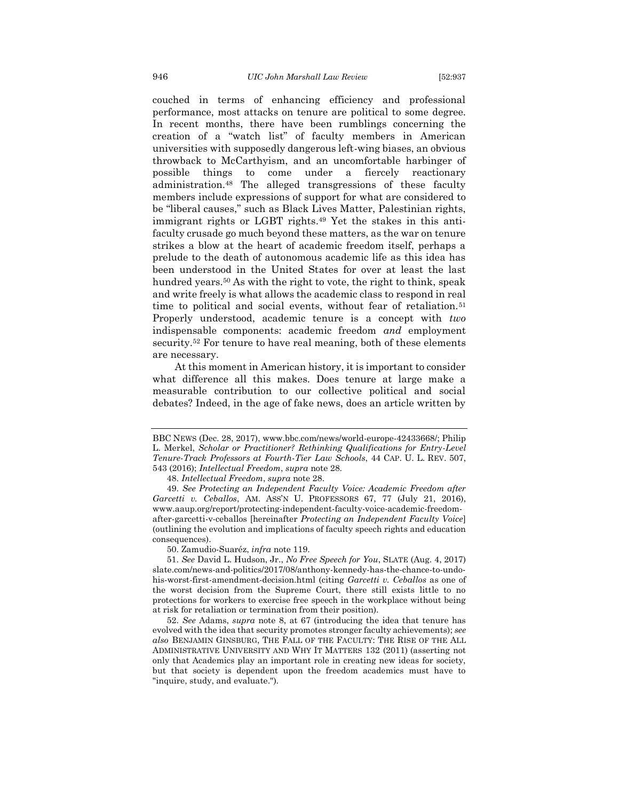<span id="page-10-0"></span>couched in terms of enhancing efficiency and professional performance, most attacks on tenure are political to some degree. In recent months, there have been rumblings concerning the creation of a "watch list" of faculty members in American universities with supposedly dangerous left-wing biases, an obvious throwback to McCarthyism, and an uncomfortable harbinger of possible things to come under a fiercely reactionary administration.<sup>48</sup> The alleged transgressions of these faculty members include expressions of support for what are considered to be "liberal causes," such as Black Lives Matter, Palestinian rights, immigrant rights or LGBT rights.<sup>49</sup> Yet the stakes in this antifaculty crusade go much beyond these matters, as the war on tenure strikes a blow at the heart of academic freedom itself, perhaps a prelude to the death of autonomous academic life as this idea has been understood in the United States for over at least the last hundred years.<sup>50</sup> As with the right to vote, the right to think, speak and write freely is what allows the academic class to respond in real time to political and social events, without fear of retaliation.<sup>51</sup> Properly understood, academic tenure is a concept with *two*  indispensable components: academic freedom *and* employment security.<sup>52</sup> For tenure to have real meaning, both of these elements are necessary.

<span id="page-10-1"></span>At this moment in American history, it is important to consider what difference all this makes. Does tenure at large make a measurable contribution to our collective political and social debates? Indeed, in the age of fake news, does an article written by

BBC NEWS (Dec. 28, 2017), www.bbc.com/news/world-europe-42433668/; Philip L. Merkel, *Scholar or Practitioner? Rethinking Qualifications for Entry-Level Tenure-Track Professors at Fourth-Tier Law Schools*, 44 CAP. U. L. REV. 507, 543 (2016); *Intellectual Freedom*, *supra* not[e 28.](#page-7-0)

<sup>48.</sup> *Intellectual Freedom*, *supra* note [28.](#page-7-0)

<sup>49.</sup> *See Protecting an Independent Faculty Voice: Academic Freedom after Garcetti v. Ceballos*, AM. ASS'N U. PROFESSORS 67, 77 (July 21, 2016), www.aaup.org/report/protecting-independent-faculty-voice-academic-freedomafter-garcetti-v-ceballos [hereinafter *Protecting an Independent Faculty Voice*] (outlining the evolution and implications of faculty speech rights and education consequences).

<sup>50.</sup> Zamudio-Suaréz, *infra* note [119.](#page-21-0)

<sup>51.</sup> *See* David L. Hudson, Jr., *No Free Speech for You*, SLATE (Aug. 4, 2017) slate.com/news-and-politics/2017/08/anthony-kennedy-has-the-chance-to-undohis-worst-first-amendment-decision.html (citing *Garcetti v. Ceballos* as one of the worst decision from the Supreme Court, there still exists little to no protections for workers to exercise free speech in the workplace without being at risk for retaliation or termination from their position).

<sup>52.</sup> *See* Adams, *supra* note [8,](#page-4-1) at 67 (introducing the idea that tenure has evolved with the idea that security promotes stronger faculty achievements); *see also* BENJAMIN GINSBURG, THE FALL OF THE FACULTY: THE RISE OF THE ALL ADMINISTRATIVE UNIVERSITY AND WHY IT MATTERS 132 (2011) (asserting not only that Academics play an important role in creating new ideas for society, but that society is dependent upon the freedom academics must have to "inquire, study, and evaluate.").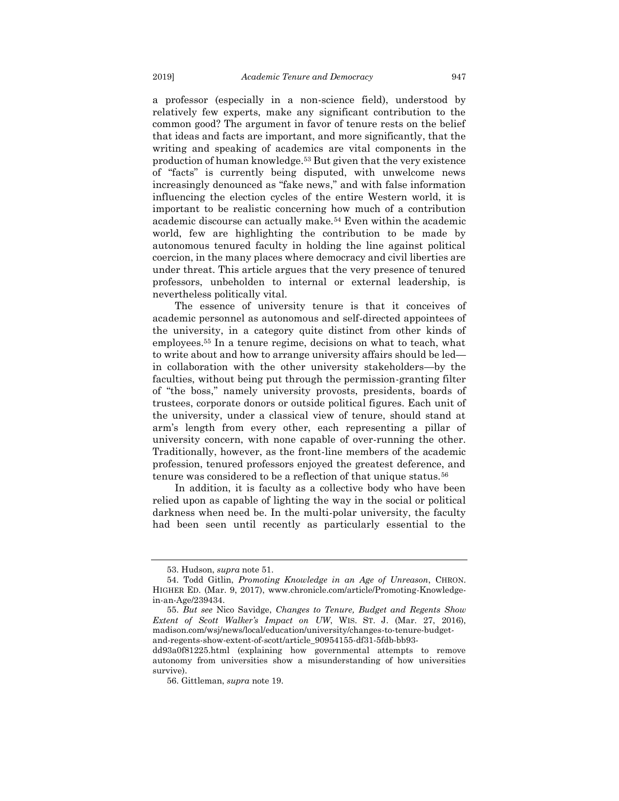a professor (especially in a non-science field), understood by relatively few experts, make any significant contribution to the common good? The argument in favor of tenure rests on the belief that ideas and facts are important, and more significantly, that the writing and speaking of academics are vital components in the production of human knowledge.<sup>53</sup> But given that the very existence of "facts" is currently being disputed, with unwelcome news increasingly denounced as "fake news," and with false information influencing the election cycles of the entire Western world, it is important to be realistic concerning how much of a contribution academic discourse can actually make.<sup>54</sup> Even within the academic world, few are highlighting the contribution to be made by autonomous tenured faculty in holding the line against political coercion, in the many places where democracy and civil liberties are under threat. This article argues that the very presence of tenured professors, unbeholden to internal or external leadership, is nevertheless politically vital.

<span id="page-11-0"></span>The essence of university tenure is that it conceives of academic personnel as autonomous and self-directed appointees of the university, in a category quite distinct from other kinds of employees.<sup>55</sup> In a tenure regime, decisions on what to teach, what to write about and how to arrange university affairs should be led in collaboration with the other university stakeholders—by the faculties, without being put through the permission-granting filter of "the boss," namely university provosts, presidents, boards of trustees, corporate donors or outside political figures. Each unit of the university, under a classical view of tenure, should stand at arm's length from every other, each representing a pillar of university concern, with none capable of over-running the other. Traditionally, however, as the front-line members of the academic profession, tenured professors enjoyed the greatest deference, and tenure was considered to be a reflection of that unique status.<sup>56</sup>

In addition, it is faculty as a collective body who have been relied upon as capable of lighting the way in the social or political darkness when need be. In the multi-polar university, the faculty had been seen until recently as particularly essential to the

<sup>53.</sup> Hudson, *supra* not[e 51.](#page-10-1)

<sup>54.</sup> Todd Gitlin, *Promoting Knowledge in an Age of Unreason*, CHRON. HIGHER ED. (Mar. 9, 2017), www.chronicle.com/article/Promoting-Knowledgein-an-Age/239434.

<sup>55.</sup> *But see* Nico Savidge, *Changes to Tenure, Budget and Regents Show Extent of Scott Walker's Impact on UW*, WIS. ST. J. (Mar. 27, 2016), madison.com/wsj/news/local/education/university/changes-to-tenure-budgetand-regents-show-extent-of-scott/article\_90954155-df31-5fdb-bb93-

dd93a0f81225.html (explaining how governmental attempts to remove autonomy from universities show a misunderstanding of how universities survive).

<sup>56.</sup> Gittleman, *supra* not[e 19.](#page-5-0)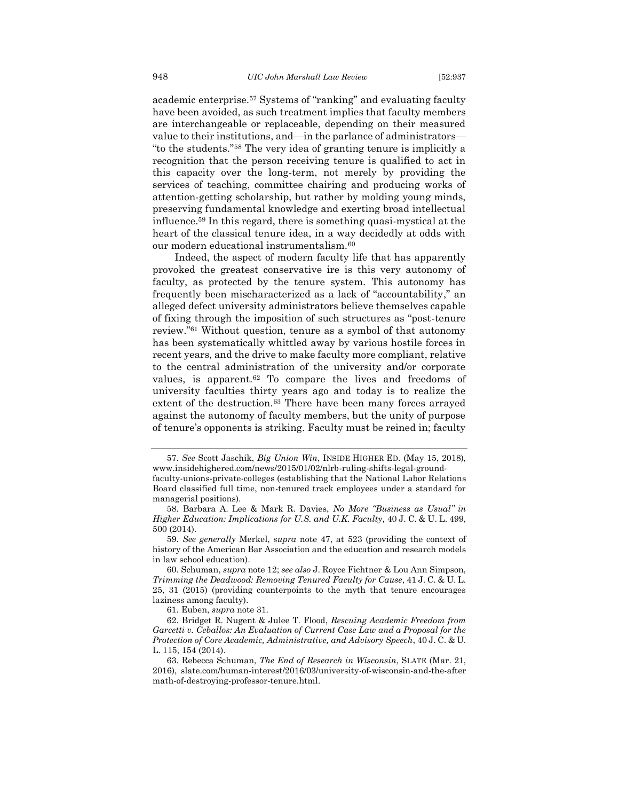<span id="page-12-2"></span>academic enterprise.<sup>57</sup> Systems of "ranking" and evaluating faculty have been avoided, as such treatment implies that faculty members are interchangeable or replaceable, depending on their measured value to their institutions, and—in the parlance of administrators— "to the students."<sup>58</sup> The very idea of granting tenure is implicitly a recognition that the person receiving tenure is qualified to act in this capacity over the long-term, not merely by providing the services of teaching, committee chairing and producing works of attention-getting scholarship, but rather by molding young minds, preserving fundamental knowledge and exerting broad intellectual influence.<sup>59</sup> In this regard, there is something quasi-mystical at the heart of the classical tenure idea, in a way decidedly at odds with our modern educational instrumentalism.<sup>60</sup>

<span id="page-12-0"></span>Indeed, the aspect of modern faculty life that has apparently provoked the greatest conservative ire is this very autonomy of faculty, as protected by the tenure system. This autonomy has frequently been mischaracterized as a lack of "accountability," an alleged defect university administrators believe themselves capable of fixing through the imposition of such structures as "post-tenure review." <sup>61</sup> Without question, tenure as a symbol of that autonomy has been systematically whittled away by various hostile forces in recent years, and the drive to make faculty more compliant, relative to the central administration of the university and/or corporate values, is apparent.<sup>62</sup> To compare the lives and freedoms of university faculties thirty years ago and today is to realize the extent of the destruction.<sup>63</sup> There have been many forces arrayed against the autonomy of faculty members, but the unity of purpose of tenure's opponents is striking. Faculty must be reined in; faculty

<span id="page-12-1"></span><sup>57.</sup> *See* Scott Jaschik, *Big Union Win*, INSIDE HIGHER ED. (May 15, 2018), www.insidehighered.com/news/2015/01/02/nlrb-ruling-shifts-legal-ground-

faculty-unions-private-colleges (establishing that the National Labor Relations Board classified full time, non-tenured track employees under a standard for managerial positions).

<sup>58.</sup> Barbara A. Lee & Mark R. Davies, *No More "Business as Usual" in Higher Education: Implications for U.S. and U.K. Faculty*, 40 J. C. & U. L. 499, 500 (2014).

<sup>59.</sup> *See generally* Merkel, *supra* note [47,](#page-9-0) at 523 (providing the context of history of the American Bar Association and the education and research models in law school education).

<sup>60.</sup> Schuman, *supra* not[e 12;](#page-4-2) *see also* J. Royce Fichtner & Lou Ann Simpson, *Trimming the Deadwood: Removing Tenured Faculty for Cause*, 41 J. C. & U. L. 25, 31 (2015) (providing counterpoints to the myth that tenure encourages laziness among faculty).

<sup>61.</sup> Euben, *supra* note 31.

<sup>62.</sup> Bridget R. Nugent & Julee T. Flood, *Rescuing Academic Freedom from Garcetti v. Ceballos: An Evaluation of Current Case Law and a Proposal for the Protection of Core Academic, Administrative, and Advisory Speech*, 40 J. C. & U. L. 115, 154 (2014).

<sup>63.</sup> Rebecca Schuman, *The End of Research in Wisconsin*, SLATE (Mar. 21, 2016), slate.com/human-interest/2016/03/university-of-wisconsin-and-the-after math-of-destroying-professor-tenure.html.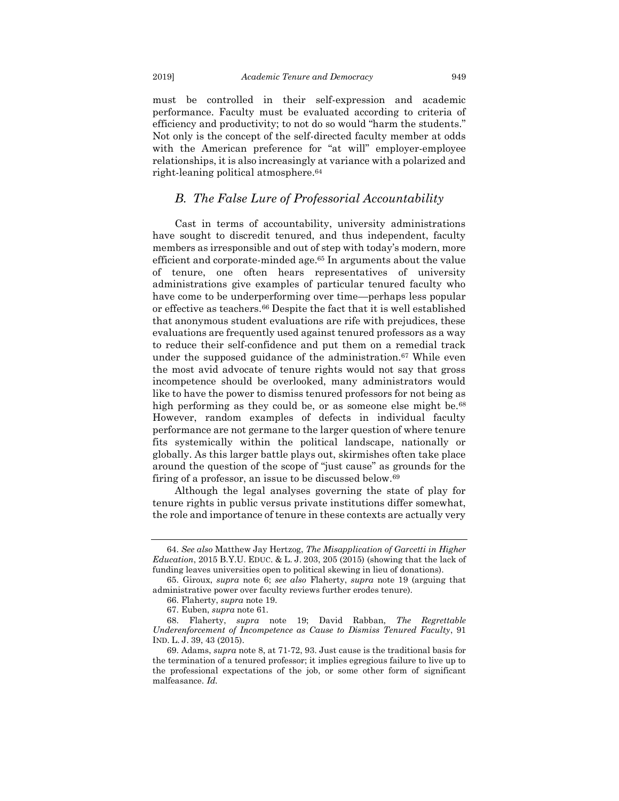must be controlled in their self-expression and academic performance. Faculty must be evaluated according to criteria of efficiency and productivity; to not do so would "harm the students." Not only is the concept of the self-directed faculty member at odds with the American preference for "at will" employer-employee relationships, it is also increasingly at variance with a polarized and right-leaning political atmosphere.<sup>64</sup>

#### <span id="page-13-0"></span>*B. The False Lure of Professorial Accountability*

Cast in terms of accountability, university administrations have sought to discredit tenured, and thus independent, faculty members as irresponsible and out of step with today's modern, more efficient and corporate-minded age.<sup>65</sup> In arguments about the value of tenure, one often hears representatives of university administrations give examples of particular tenured faculty who have come to be underperforming over time—perhaps less popular or effective as teachers.<sup>66</sup> Despite the fact that it is well established that anonymous student evaluations are rife with prejudices, these evaluations are frequently used against tenured professors as a way to reduce their self-confidence and put them on a remedial track under the supposed guidance of the administration.<sup>67</sup> While even the most avid advocate of tenure rights would not say that gross incompetence should be overlooked, many administrators would like to have the power to dismiss tenured professors for not being as high performing as they could be, or as someone else might be.<sup>68</sup> However, random examples of defects in individual faculty performance are not germane to the larger question of where tenure fits systemically within the political landscape, nationally or globally. As this larger battle plays out, skirmishes often take place around the question of the scope of "just cause" as grounds for the firing of a professor, an issue to be discussed below.<sup>69</sup>

Although the legal analyses governing the state of play for tenure rights in public versus private institutions differ somewhat, the role and importance of tenure in these contexts are actually very

<sup>64.</sup> *See also* Matthew Jay Hertzog, *The Misapplication of Garcetti in Higher Education*, 2015 B.Y.U. EDUC. & L. J. 203, 205 (2015) (showing that the lack of funding leaves universities open to political skewing in lieu of donations).

<sup>65.</sup> Giroux, *supra* note [6;](#page-3-0) *see also* Flaherty, *supra* note [19](#page-5-0) (arguing that administrative power over faculty reviews further erodes tenure).

<sup>66.</sup> Flaherty, *supra* not[e 19.](#page-5-0)

<sup>67.</sup> Euben, *supra* not[e 61.](#page-12-0)

<sup>68.</sup> Flaherty, *supra* note [19;](#page-5-0) David Rabban, *The Regrettable Underenforcement of Incompetence as Cause to Dismiss Tenured Faculty*, 91 IND. L. J. 39, 43 (2015).

<sup>69.</sup> Adams, *supra* not[e 8,](#page-4-1) at 71-72, 93. Just cause is the traditional basis for the termination of a tenured professor; it implies egregious failure to live up to the professional expectations of the job, or some other form of significant malfeasance*. Id.*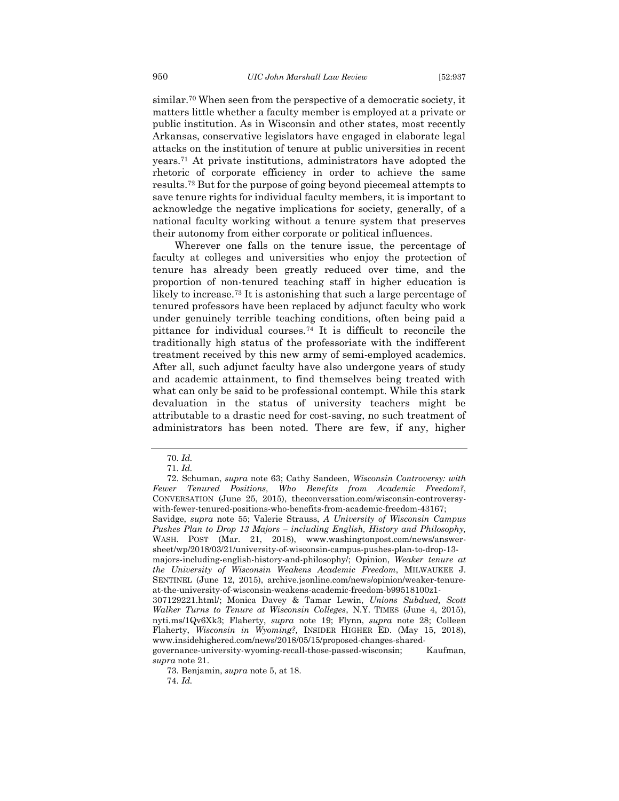similar.<sup>70</sup> When seen from the perspective of a democratic society, it matters little whether a faculty member is employed at a private or public institution. As in Wisconsin and other states, most recently Arkansas, conservative legislators have engaged in elaborate legal attacks on the institution of tenure at public universities in recent years.<sup>71</sup> At private institutions, administrators have adopted the rhetoric of corporate efficiency in order to achieve the same results.<sup>72</sup> But for the purpose of going beyond piecemeal attempts to save tenure rights for individual faculty members, it is important to acknowledge the negative implications for society, generally, of a national faculty working without a tenure system that preserves their autonomy from either corporate or political influences.

<span id="page-14-0"></span>Wherever one falls on the tenure issue, the percentage of faculty at colleges and universities who enjoy the protection of tenure has already been greatly reduced over time, and the proportion of non-tenured teaching staff in higher education is likely to increase.<sup>73</sup> It is astonishing that such a large percentage of tenured professors have been replaced by adjunct faculty who work under genuinely terrible teaching conditions, often being paid a pittance for individual courses.<sup>74</sup> It is difficult to reconcile the traditionally high status of the professoriate with the indifferent treatment received by this new army of semi-employed academics. After all, such adjunct faculty have also undergone years of study and academic attainment, to find themselves being treated with what can only be said to be professional contempt. While this stark devaluation in the status of university teachers might be attributable to a drastic need for cost-saving, no such treatment of administrators has been noted. There are few, if any, higher

Savidge, *supra* note [55;](#page-11-0) Valerie Strauss, *A University of Wisconsin Campus Pushes Plan to Drop 13 Majors – including English, History and Philosophy,* WASH. POST (Mar. 21, 2018), www.washingtonpost.com/news/answersheet/wp/2018/03/21/university-of-wisconsin-campus-pushes-plan-to-drop-13 majors-including-english-history-and-philosophy/; Opinion, *Weaker tenure at* 

<sup>70.</sup> *Id.* 

<sup>71.</sup> *Id.*

<sup>72.</sup> Schuman, *supra* note [63;](#page-12-1) Cathy Sandeen, *Wisconsin Controversy: with Fewer Tenured Positions, Who Benefits from Academic Freedom?*, CONVERSATION (June 25, 2015), theconversation.com/wisconsin-controversywith-fewer-tenured-positions-who-benefits-from-academic-freedom-43167;

*the University of Wisconsin Weakens Academic Freedom*, MILWAUKEE J. SENTINEL (June 12, 2015), archive.jsonline.com/news/opinion/weaker-tenureat-the-university-of-wisconsin-weakens-academic-freedom-b99518100z1-

<sup>307129221.</sup>html/; Monica Davey & Tamar Lewin, *Unions Subdued, Scott Walker Turns to Tenure at Wisconsin Colleges*, N.Y. TIMES (June 4, 2015), nyti.ms/1Qv6Xk3; Flaherty, *supra* note [19;](#page-5-0) Flynn, *supra* note [28;](#page-7-0) Colleen Flaherty, *Wisconsin in Wyoming?,* INSIDER HIGHER ED. (May 15, 2018), www.insidehighered.com/news/2018/05/15/proposed-changes-shared-

governance-university-wyoming-recall-those-passed-wisconsin; Kaufman, *supra* note [21.](#page-6-0)

<sup>73.</sup> Benjamin, *supra* not[e 5,](#page-3-1) at 18.

<sup>74.</sup> *Id.*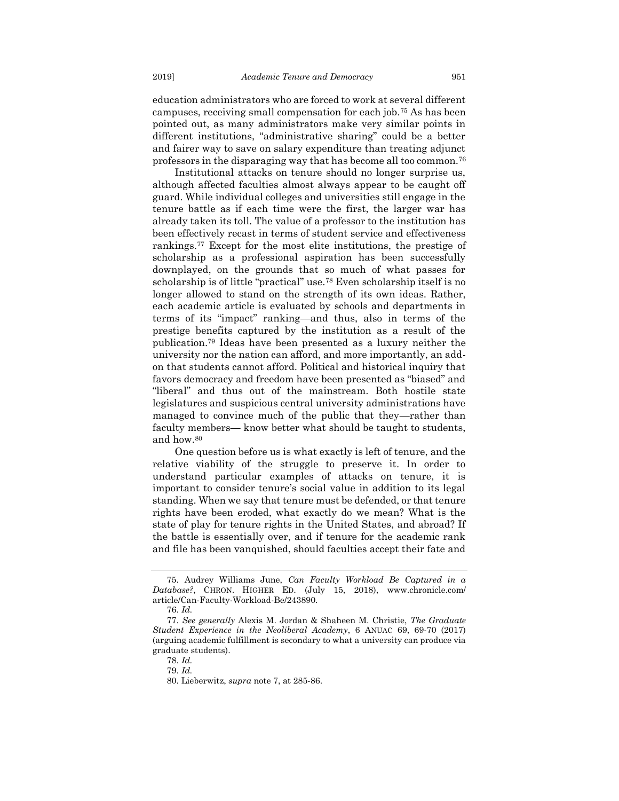<span id="page-15-1"></span>education administrators who are forced to work at several different campuses, receiving small compensation for each job.<sup>75</sup> As has been pointed out, as many administrators make very similar points in different institutions, "administrative sharing" could be a better and fairer way to save on salary expenditure than treating adjunct professors in the disparaging way that has become all too common.<sup>76</sup>

<span id="page-15-0"></span>Institutional attacks on tenure should no longer surprise us, although affected faculties almost always appear to be caught off guard. While individual colleges and universities still engage in the tenure battle as if each time were the first, the larger war has already taken its toll. The value of a professor to the institution has been effectively recast in terms of student service and effectiveness rankings.<sup>77</sup> Except for the most elite institutions, the prestige of scholarship as a professional aspiration has been successfully downplayed, on the grounds that so much of what passes for scholarship is of little "practical" use.<sup>78</sup> Even scholarship itself is no longer allowed to stand on the strength of its own ideas. Rather, each academic article is evaluated by schools and departments in terms of its "impact" ranking—and thus, also in terms of the prestige benefits captured by the institution as a result of the publication.<sup>79</sup> Ideas have been presented as a luxury neither the university nor the nation can afford, and more importantly, an addon that students cannot afford. Political and historical inquiry that favors democracy and freedom have been presented as "biased" and "liberal" and thus out of the mainstream. Both hostile state legislatures and suspicious central university administrations have managed to convince much of the public that they—rather than faculty members— know better what should be taught to students, and how.<sup>80</sup>

One question before us is what exactly is left of tenure, and the relative viability of the struggle to preserve it. In order to understand particular examples of attacks on tenure, it is important to consider tenure's social value in addition to its legal standing. When we say that tenure must be defended, or that tenure rights have been eroded, what exactly do we mean? What is the state of play for tenure rights in the United States, and abroad? If the battle is essentially over, and if tenure for the academic rank and file has been vanquished, should faculties accept their fate and

<sup>75.</sup> Audrey Williams June, *Can Faculty Workload Be Captured in a Database?*, CHRON. HIGHER ED. (July 15, 2018), www.chronicle.com/ article/Can-Faculty-Workload-Be/243890.

<sup>76.</sup> *Id.*

<sup>77.</sup> *See generally* Alexis M. Jordan & Shaheen M. Christie, *The Graduate Student Experience in the Neoliberal Academy*, 6 ANUAC 69, 69-70 (2017) (arguing academic fulfillment is secondary to what a university can produce via graduate students).

<sup>78.</sup> *Id.*

<sup>79.</sup> *Id.*

<sup>80.</sup> Lieberwitz, *supra* not[e 7,](#page-3-2) at 285-86.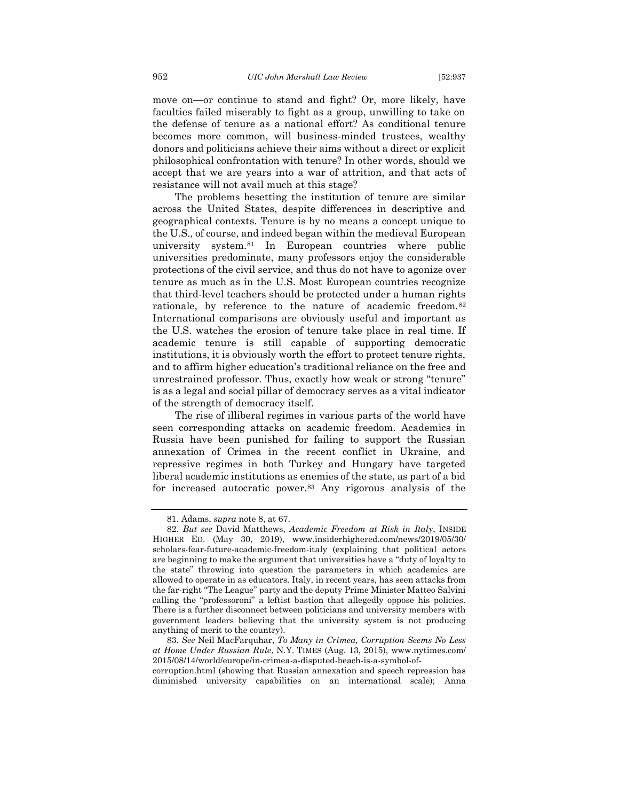move on—or continue to stand and fight? Or, more likely, have faculties failed miserably to fight as a group, unwilling to take on the defense of tenure as a national effort? As conditional tenure becomes more common, will business-minded trustees, wealthy donors and politicians achieve their aims without a direct or explicit philosophical confrontation with tenure? In other words, should we accept that we are years into a war of attrition, and that acts of resistance will not avail much at this stage?

<span id="page-16-1"></span>The problems besetting the institution of tenure are similar across the United States, despite differences in descriptive and geographical contexts. Tenure is by no means a concept unique to the U.S., of course, and indeed began within the medieval European university system.<sup>81</sup> In European countries where public universities predominate, many professors enjoy the considerable protections of the civil service, and thus do not have to agonize over tenure as much as in the U.S. Most European countries recognize that third-level teachers should be protected under a human rights rationale, by reference to the nature of academic freedom.<sup>82</sup> International comparisons are obviously useful and important as the U.S. watches the erosion of tenure take place in real time. If academic tenure is still capable of supporting democratic institutions, it is obviously worth the effort to protect tenure rights, and to affirm higher education's traditional reliance on the free and unrestrained professor. Thus, exactly how weak or strong "tenure" is as a legal and social pillar of democracy serves as a vital indicator of the strength of democracy itself.

The rise of illiberal regimes in various parts of the world have seen corresponding attacks on academic freedom. Academics in Russia have been punished for failing to support the Russian annexation of Crimea in the recent conflict in Ukraine, and repressive regimes in both Turkey and Hungary have targeted liberal academic institutions as enemies of the state, as part of a bid for increased autocratic power.<sup>83</sup> Any rigorous analysis of the

<span id="page-16-0"></span><sup>81.</sup> Adams, *supra* not[e 8,](#page-4-1) at 67.

<sup>82.</sup> *But see* David Matthews, *Academic Freedom at Risk in Italy*, INSIDE HIGHER ED. (May 30, 2019), www.insiderhighered.com/news/2019/05/30/ scholars-fear-future-academic-freedom-italy (explaining that political actors are beginning to make the argument that universities have a "duty of loyalty to the state" throwing into question the parameters in which academics are allowed to operate in as educators. Italy, in recent years, has seen attacks from the far-right "The League" party and the deputy Prime Minister Matteo Salvini calling the "professoroni" a leftist bastion that allegedly oppose his policies. There is a further disconnect between politicians and university members with government leaders believing that the university system is not producing anything of merit to the country)*.*

<sup>83.</sup> *See* Neil MacFarquhar, *To Many in Crimea, Corruption Seems No Less at Home Under Russian Rule*, N.Y. TIMES (Aug. 13, 2015), www.nytimes.com/ 2015/08/14/world/europe/in-crimea-a-disputed-beach-is-a-symbol-of-

corruption.html (showing that Russian annexation and speech repression has diminished university capabilities on an international scale); Anna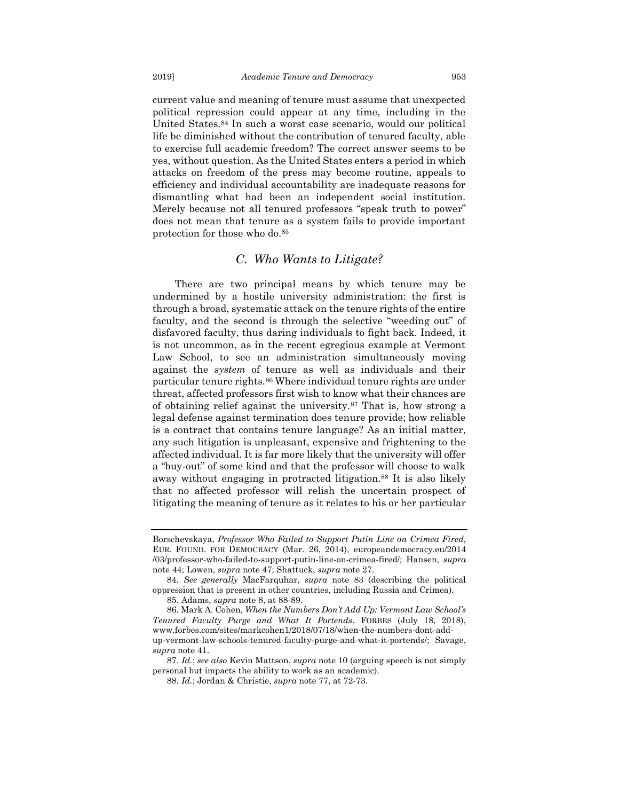current value and meaning of tenure must assume that unexpected political repression could appear at any time, including in the United States.<sup>84</sup> In such a worst case scenario, would our political life be diminished without the contribution of tenured faculty, able to exercise full academic freedom? The correct answer seems to be yes, without question. As the United States enters a period in which attacks on freedom of the press may become routine, appeals to efficiency and individual accountability are inadequate reasons for dismantling what had been an independent social institution. Merely because not all tenured professors "speak truth to power" does not mean that tenure as a system fails to provide important

#### <span id="page-17-1"></span>*C. Who Wants to Litigate?*

There are two principal means by which tenure may be undermined by a hostile university administration: the first is through a broad, systematic attack on the tenure rights of the entire faculty, and the second is through the selective "weeding out" of disfavored faculty, thus daring individuals to fight back. Indeed, it is not uncommon, as in the recent egregious example at Vermont Law School, to see an administration simultaneously moving against the *system* of tenure as well as individuals and their particular tenure rights.<sup>86</sup> Where individual tenure rights are under threat, affected professors first wish to know what their chances are of obtaining relief against the university.<sup>87</sup> That is, how strong a legal defense against termination does tenure provide; how reliable is a contract that contains tenure language? As an initial matter, any such litigation is unpleasant, expensive and frightening to the affected individual. It is far more likely that the university will offer a "buy-out" of some kind and that the professor will choose to walk away without engaging in protracted litigation.<sup>88</sup> It is also likely that no affected professor will relish the uncertain prospect of litigating the meaning of tenure as it relates to his or her particular

<span id="page-17-0"></span>protection for those who do.<sup>85</sup>

Borschevskaya, *Professor Who Failed to Support Putin Line on Crimea Fired*, EUR. FOUND. FOR DEMOCRACY (Mar. 26, 2014), europeandemocracy.eu/2014 /03/professor-who-failed-to-support-putin-line-on-crimea-fired/; Hansen, *supra* not[e 44;](#page-9-1) Lowen, *supra* not[e 47;](#page-9-0) Shattuck, *supra* not[e 27.](#page-7-2)

<sup>84.</sup> *See generally* MacFarquhar, *supra* note [83](#page-16-0) (describing the political oppression that is present in other countries, including Russia and Crimea).

<sup>85.</sup> Adams, *supra* not[e 8,](#page-4-1) at 88-89.

<sup>86.</sup> Mark A. Cohen, *When the Numbers Don't Add Up: Vermont Law School's Tenured Faculty Purge and What It Portends*, FORBES (July 18, 2018), www.forbes.com/sites/markcohen1/2018/07/18/when-the-numbers-dont-addup-vermont-law-schools-tenured-faculty-purge-and-what-it-portends/; Savage, *supra* note [41.](#page-8-0)

<sup>87.</sup> *Id.*; *see also* Kevin Mattson, *supra* not[e 10](#page-4-3) (arguing speech is not simply personal but impacts the ability to work as an academic).

<sup>88.</sup> *Id.*; Jordan & Christie, *supra* note [77,](#page-15-0) at 72-73.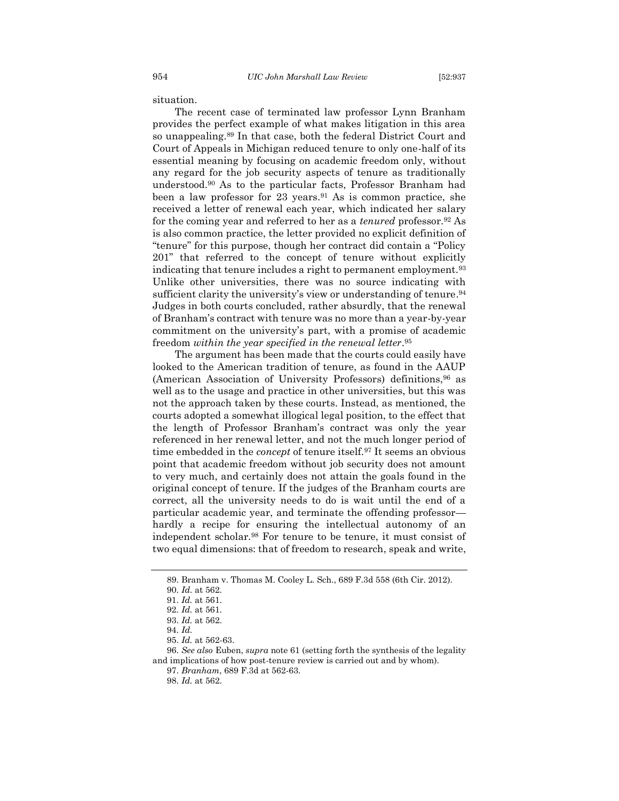situation.

The recent case of terminated law professor Lynn Branham provides the perfect example of what makes litigation in this area so unappealing.<sup>89</sup> In that case, both the federal District Court and Court of Appeals in Michigan reduced tenure to only one-half of its essential meaning by focusing on academic freedom only, without any regard for the job security aspects of tenure as traditionally understood.<sup>90</sup> As to the particular facts, Professor Branham had been a law professor for 23 years.<sup>91</sup> As is common practice, she received a letter of renewal each year, which indicated her salary for the coming year and referred to her as a *tenured* professor.<sup>92</sup> As is also common practice, the letter provided no explicit definition of "tenure" for this purpose, though her contract did contain a "Policy 201" that referred to the concept of tenure without explicitly indicating that tenure includes a right to permanent employment.<sup>93</sup> Unlike other universities, there was no source indicating with sufficient clarity the university's view or understanding of tenure.<sup>94</sup> Judges in both courts concluded, rather absurdly, that the renewal of Branham's contract with tenure was no more than a year-by-year commitment on the university's part, with a promise of academic freedom *within the year specified in the renewal letter*. 95

The argument has been made that the courts could easily have looked to the American tradition of tenure, as found in the AAUP (American Association of University Professors) definitions,<sup>96</sup> as well as to the usage and practice in other universities, but this was not the approach taken by these courts. Instead, as mentioned, the courts adopted a somewhat illogical legal position, to the effect that the length of Professor Branham's contract was only the year referenced in her renewal letter, and not the much longer period of time embedded in the *concept* of tenure itself.<sup>97</sup> It seems an obvious point that academic freedom without job security does not amount to very much, and certainly does not attain the goals found in the original concept of tenure. If the judges of the Branham courts are correct, all the university needs to do is wait until the end of a particular academic year, and terminate the offending professor hardly a recipe for ensuring the intellectual autonomy of an independent scholar.<sup>98</sup> For tenure to be tenure, it must consist of two equal dimensions: that of freedom to research, speak and write,

<sup>89.</sup> Branham v. Thomas M. Cooley L. Sch., 689 F.3d 558 (6th Cir. 2012).

<sup>90.</sup> *Id.* at 562.

<sup>91.</sup> *Id.* at 561.

<sup>92.</sup> *Id.* at 561.

<sup>93.</sup> *Id.* at 562.

<sup>94.</sup> *Id.*

<sup>95.</sup> *Id.* at 562-63.

<sup>96.</sup> *See also* Euben, *supra* note [61](#page-12-0) (setting forth the synthesis of the legality and implications of how post-tenure review is carried out and by whom).

<sup>97.</sup> *Branham*, 689 F.3d at 562-63.

<sup>98.</sup> *Id.* at 562.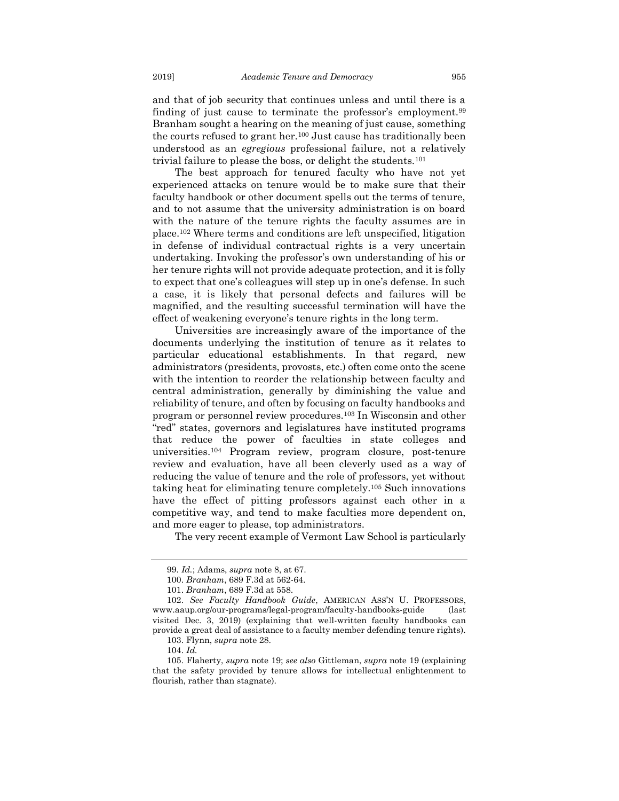and that of job security that continues unless and until there is a finding of just cause to terminate the professor's employment.<sup>99</sup> Branham sought a hearing on the meaning of just cause, something the courts refused to grant her.<sup>100</sup> Just cause has traditionally been understood as an *egregious* professional failure, not a relatively trivial failure to please the boss, or delight the students.<sup>101</sup>

The best approach for tenured faculty who have not yet experienced attacks on tenure would be to make sure that their faculty handbook or other document spells out the terms of tenure, and to not assume that the university administration is on board with the nature of the tenure rights the faculty assumes are in place. <sup>102</sup> Where terms and conditions are left unspecified, litigation in defense of individual contractual rights is a very uncertain undertaking. Invoking the professor's own understanding of his or her tenure rights will not provide adequate protection, and it is folly to expect that one's colleagues will step up in one's defense. In such a case, it is likely that personal defects and failures will be magnified, and the resulting successful termination will have the effect of weakening everyone's tenure rights in the long term.

Universities are increasingly aware of the importance of the documents underlying the institution of tenure as it relates to particular educational establishments. In that regard, new administrators (presidents, provosts, etc.) often come onto the scene with the intention to reorder the relationship between faculty and central administration, generally by diminishing the value and reliability of tenure, and often by focusing on faculty handbooks and program or personnel review procedures.<sup>103</sup> In Wisconsin and other "red" states, governors and legislatures have instituted programs that reduce the power of faculties in state colleges and universities.<sup>104</sup> Program review, program closure, post-tenure review and evaluation, have all been cleverly used as a way of reducing the value of tenure and the role of professors, yet without taking heat for eliminating tenure completely.<sup>105</sup> Such innovations have the effect of pitting professors against each other in a competitive way, and tend to make faculties more dependent on, and more eager to please, top administrators.

The very recent example of Vermont Law School is particularly

<sup>99.</sup> *Id.*; Adams, *supra* not[e 8,](#page-4-1) at 67.

<sup>100.</sup> *Branham*, 689 F.3d at 562-64.

<sup>101.</sup> *Branham*, 689 F.3d at 558.

<sup>102.</sup> *See Faculty Handbook Guide*, AMERICAN ASS'N U. PROFESSORS, www.aaup.org/our-programs/legal-program/faculty-handbooks-guide (last visited Dec. 3, 2019) (explaining that well-written faculty handbooks can provide a great deal of assistance to a faculty member defending tenure rights).

<sup>103.</sup> Flynn, *supra* not[e 28.](#page-7-0)

<sup>104.</sup> *Id.*

<sup>105.</sup> Flaherty, *supra* note [19;](#page-5-0) *see also* Gittleman, *supra* not[e 19](#page-5-0) (explaining that the safety provided by tenure allows for intellectual enlightenment to flourish, rather than stagnate).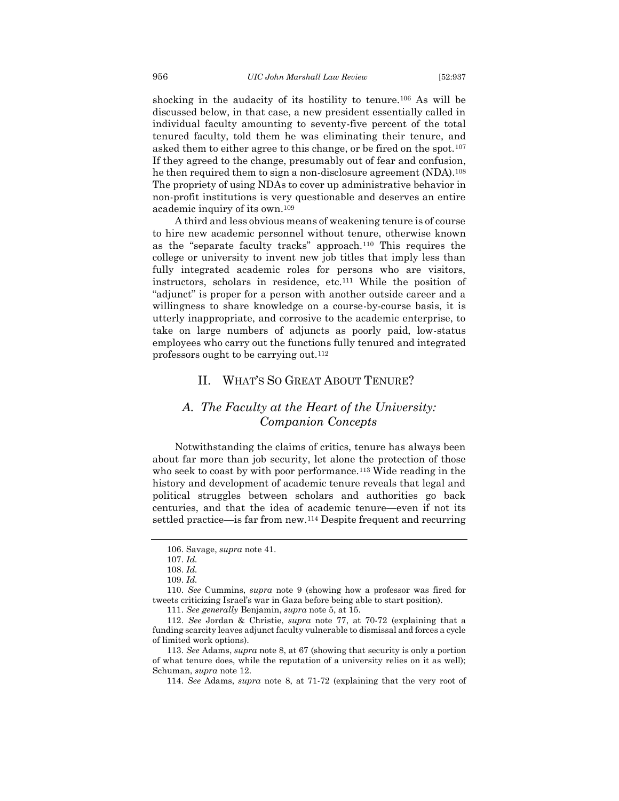shocking in the audacity of its hostility to tenure.<sup>106</sup> As will be discussed below, in that case, a new president essentially called in individual faculty amounting to seventy-five percent of the total tenured faculty, told them he was eliminating their tenure, and asked them to either agree to this change, or be fired on the spot.<sup>107</sup> If they agreed to the change, presumably out of fear and confusion, he then required them to sign a non-disclosure agreement (NDA).<sup>108</sup> The propriety of using NDAs to cover up administrative behavior in non-profit institutions is very questionable and deserves an entire academic inquiry of its own.<sup>109</sup>

A third and less obvious means of weakening tenure is of course to hire new academic personnel without tenure, otherwise known as the "separate faculty tracks" approach.<sup>110</sup> This requires the college or university to invent new job titles that imply less than fully integrated academic roles for persons who are visitors, instructors, scholars in residence, etc.<sup>111</sup> While the position of "adjunct" is proper for a person with another outside career and a willingness to share knowledge on a course-by-course basis, it is utterly inappropriate, and corrosive to the academic enterprise, to take on large numbers of adjuncts as poorly paid, low-status employees who carry out the functions fully tenured and integrated professors ought to be carrying out.<sup>112</sup>

#### II. WHAT'S SO GREAT ABOUT TENURE?

# <span id="page-20-1"></span><span id="page-20-0"></span>*A. The Faculty at the Heart of the University: Companion Concepts*

Notwithstanding the claims of critics, tenure has always been about far more than job security, let alone the protection of those who seek to coast by with poor performance.<sup>113</sup> Wide reading in the history and development of academic tenure reveals that legal and political struggles between scholars and authorities go back centuries, and that the idea of academic tenure—even if not its settled practice—is far from new.<sup>114</sup> Despite frequent and recurring

<sup>106.</sup> Savage, *supra* not[e 41.](#page-8-0)

<sup>107.</sup> *Id.*

<sup>108.</sup> *Id.*

<sup>109.</sup> *Id.*

<sup>110.</sup> *See* Cummins, *supra* note [9](#page-4-4) (showing how a professor was fired for tweets criticizing Israel's war in Gaza before being able to start position).

<sup>111.</sup> *See generally* Benjamin, *supra* note [5,](#page-3-1) at 15.

<sup>112.</sup> *See* Jordan & Christie, *supra* note [77,](#page-15-0) at 70-72 (explaining that a funding scarcity leaves adjunct faculty vulnerable to dismissal and forces a cycle of limited work options).

<sup>113.</sup> *See* Adams, *supra* not[e 8,](#page-4-1) at 67 (showing that security is only a portion of what tenure does, while the reputation of a university relies on it as well); Schuman, *supra* note [12.](#page-4-2)

<sup>114.</sup> *See* Adams, *supra* note [8,](#page-4-1) at 71-72 (explaining that the very root of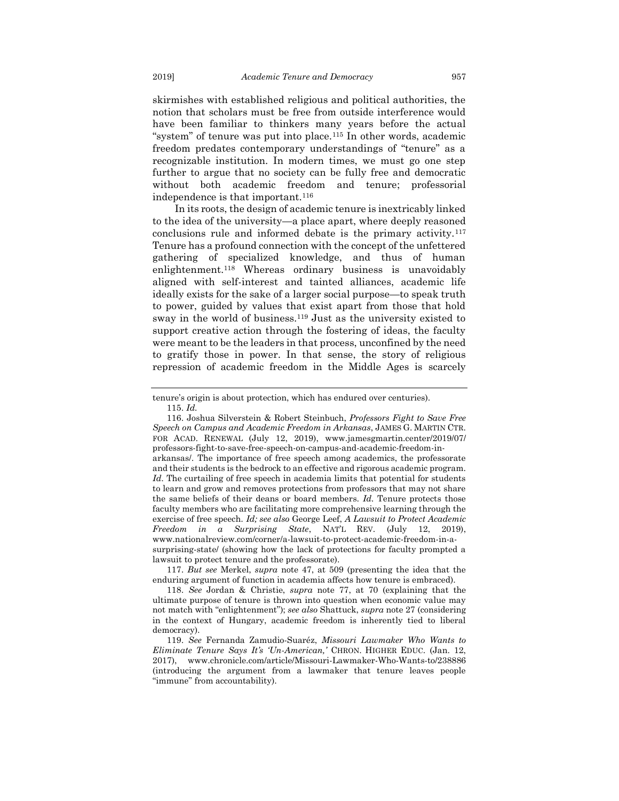skirmishes with established religious and political authorities, the notion that scholars must be free from outside interference would have been familiar to thinkers many years before the actual "system" of tenure was put into place.<sup>115</sup> In other words, academic freedom predates contemporary understandings of "tenure" as a recognizable institution. In modern times, we must go one step further to argue that no society can be fully free and democratic without both academic freedom and tenure; professorial independence is that important.<sup>116</sup>

<span id="page-21-1"></span>In its roots, the design of academic tenure is inextricably linked to the idea of the university—a place apart, where deeply reasoned conclusions rule and informed debate is the primary activity.<sup>117</sup> Tenure has a profound connection with the concept of the unfettered gathering of specialized knowledge, and thus of human enlightenment.<sup>118</sup> Whereas ordinary business is unavoidably aligned with self-interest and tainted alliances, academic life ideally exists for the sake of a larger social purpose—to speak truth to power, guided by values that exist apart from those that hold sway in the world of business.<sup>119</sup> Just as the university existed to support creative action through the fostering of ideas, the faculty were meant to be the leaders in that process, unconfined by the need to gratify those in power. In that sense, the story of religious repression of academic freedom in the Middle Ages is scarcely

arkansas/. The importance of free speech among academics, the professorate and their students is the bedrock to an effective and rigorous academic program. *Id*. The curtailing of free speech in academia limits that potential for students to learn and grow and removes protections from professors that may not share the same beliefs of their deans or board members. *Id.* Tenure protects those faculty members who are facilitating more comprehensive learning through the exercise of free speech. *Id; see also* George Leef, *A Lawsuit to Protect Academic Freedom in a Surprising State*, NAT'L REV. (July 12, 2019), www.nationalreview.com/corner/a-lawsuit-to-protect-academic-freedom-in-asurprising-state/ (showing how the lack of protections for faculty prompted a lawsuit to protect tenure and the professorate).

118. *See* Jordan & Christie, *supra* note [77,](#page-15-0) at 70 (explaining that the ultimate purpose of tenure is thrown into question when economic value may not match with "enlightenment"); *see also* Shattuck, *supra* not[e 27](#page-7-2) (considering in the context of Hungary, academic freedom is inherently tied to liberal democracy).

<span id="page-21-0"></span>tenure's origin is about protection, which has endured over centuries). 115. *Id.*

<sup>116.</sup> Joshua Silverstein & Robert Steinbuch, *Professors Fight to Save Free Speech on Campus and Academic Freedom in Arkansas*, JAMES G. MARTIN CTR. FOR ACAD. RENEWAL (July 12, 2019), www.jamesgmartin.center/2019/07/ professors-fight-to-save-free-speech-on-campus-and-academic-freedom-in-

<sup>117.</sup> *But see* Merkel, *supra* note [47,](#page-9-0) at 509 (presenting the idea that the enduring argument of function in academia affects how tenure is embraced).

<sup>119.</sup> *See* Fernanda Zamudio-Suaréz, *Missouri Lawmaker Who Wants to Eliminate Tenure Says It's 'Un-American,'* CHRON. HIGHER EDUC. (Jan. 12, 2017), www.chronicle.com/article/Missouri-Lawmaker-Who-Wants-to/238886 (introducing the argument from a lawmaker that tenure leaves people "immune" from accountability).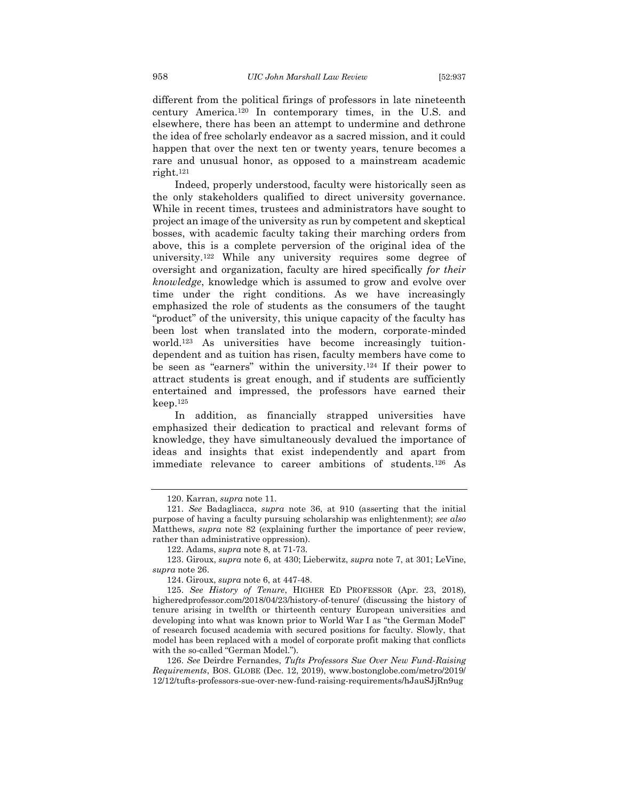different from the political firings of professors in late nineteenth century America.<sup>120</sup> In contemporary times, in the U.S. and elsewhere, there has been an attempt to undermine and dethrone the idea of free scholarly endeavor as a sacred mission, and it could happen that over the next ten or twenty years, tenure becomes a rare and unusual honor, as opposed to a mainstream academic right.<sup>121</sup>

Indeed, properly understood, faculty were historically seen as the only stakeholders qualified to direct university governance. While in recent times, trustees and administrators have sought to project an image of the university as run by competent and skeptical bosses, with academic faculty taking their marching orders from above, this is a complete perversion of the original idea of the university.<sup>122</sup> While any university requires some degree of oversight and organization, faculty are hired specifically *for their knowledge*, knowledge which is assumed to grow and evolve over time under the right conditions. As we have increasingly emphasized the role of students as the consumers of the taught "product" of the university, this unique capacity of the faculty has been lost when translated into the modern, corporate-minded world.<sup>123</sup> As universities have become increasingly tuitiondependent and as tuition has risen, faculty members have come to be seen as "earners" within the university.<sup>124</sup> If their power to attract students is great enough, and if students are sufficiently entertained and impressed, the professors have earned their keep.<sup>125</sup>

<span id="page-22-0"></span>In addition, as financially strapped universities have emphasized their dedication to practical and relevant forms of knowledge, they have simultaneously devalued the importance of ideas and insights that exist independently and apart from immediate relevance to career ambitions of students.<sup>126</sup> As

<sup>120.</sup> Karran, *supra* not[e 11.](#page-4-5)

<sup>121.</sup> *See* Badagliacca, *supra* note [36,](#page-8-1) at 910 (asserting that the initial purpose of having a faculty pursuing scholarship was enlightenment); *see also* Matthews, *supra* note [82](#page-16-1) (explaining further the importance of peer review, rather than administrative oppression).

<sup>122.</sup> Adams, *supra* not[e 8,](#page-4-1) at 71-73.

<sup>123.</sup> Giroux, *supra* not[e 6,](#page-3-0) at 430; Lieberwitz, *supra* not[e 7,](#page-3-2) at 301; LeVine, *supra* note [26.](#page-6-1)

<sup>124.</sup> Giroux, *supra* note [6,](#page-3-0) at 447-48.

<sup>125.</sup> *See History of Tenure*, HIGHER ED PROFESSOR (Apr. 23, 2018), higheredprofessor.com/2018/04/23/history-of-tenure/ (discussing the history of tenure arising in twelfth or thirteenth century European universities and developing into what was known prior to World War I as "the German Model" of research focused academia with secured positions for faculty. Slowly, that model has been replaced with a model of corporate profit making that conflicts with the so-called "German Model.").

<sup>126.</sup> *See* Deirdre Fernandes, *Tufts Professors Sue Over New Fund-Raising Requirements*, BOS. GLOBE (Dec. 12, 2019), www.bostonglobe.com/metro/2019/ 12/12/tufts-professors-sue-over-new-fund-raising-requirements/hJauSJjRn9ug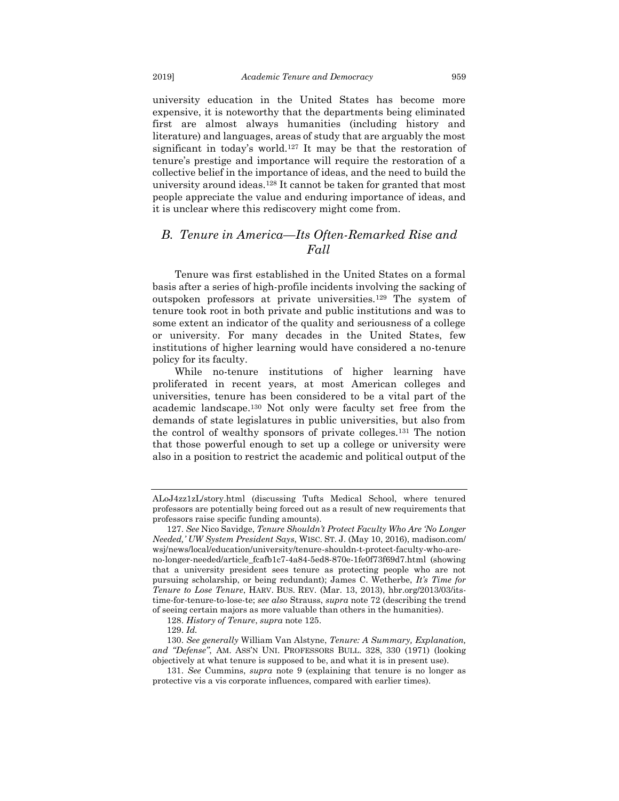university education in the United States has become more expensive, it is noteworthy that the departments being eliminated first are almost always humanities (including history and literature) and languages, areas of study that are arguably the most significant in today's world.<sup>127</sup> It may be that the restoration of tenure's prestige and importance will require the restoration of a collective belief in the importance of ideas, and the need to build the university around ideas.<sup>128</sup> It cannot be taken for granted that most people appreciate the value and enduring importance of ideas, and it is unclear where this rediscovery might come from.

## <span id="page-23-0"></span>*B. Tenure in America—Its Often-Remarked Rise and Fall*

Tenure was first established in the United States on a formal basis after a series of high-profile incidents involving the sacking of outspoken professors at private universities.<sup>129</sup> The system of tenure took root in both private and public institutions and was to some extent an indicator of the quality and seriousness of a college or university. For many decades in the United States, few institutions of higher learning would have considered a no-tenure policy for its faculty.

While no-tenure institutions of higher learning have proliferated in recent years, at most American colleges and universities, tenure has been considered to be a vital part of the academic landscape.<sup>130</sup> Not only were faculty set free from the demands of state legislatures in public universities, but also from the control of wealthy sponsors of private colleges.<sup>131</sup> The notion that those powerful enough to set up a college or university were also in a position to restrict the academic and political output of the

ALoJ4zz1zL/story.html (discussing Tufts Medical School, where tenured professors are potentially being forced out as a result of new requirements that professors raise specific funding amounts).

<sup>127.</sup> *See* Nico Savidge, *Tenure Shouldn't Protect Faculty Who Are 'No Longer Needed,' UW System President Says*, WISC. ST. J. (May 10, 2016), madison.com/ wsj/news/local/education/university/tenure-shouldn-t-protect-faculty-who-areno-longer-needed/article\_fcafb1c7-4a84-5ed8-870e-1fe0f73f69d7.html (showing that a university president sees tenure as protecting people who are not pursuing scholarship, or being redundant); James C. Wetherbe, *It's Time for Tenure to Lose Tenure*, HARV. BUS. REV. (Mar. 13, 2013), hbr.org/2013/03/itstime-for-tenure-to-lose-te; *see also* Strauss, *supra* not[e 72](#page-14-0) (describing the trend of seeing certain majors as more valuable than others in the humanities).

<sup>128.</sup> *History of Tenure*, *supra* not[e 125.](#page-22-0)

<sup>129.</sup> *Id.*

<sup>130.</sup> *See generally* William Van Alstyne, *Tenure: A Summary, Explanation, and "Defense"*, AM. ASS'N UNI. PROFESSORS BULL. 328, 330 (1971) (looking objectively at what tenure is supposed to be, and what it is in present use).

<sup>131.</sup> *See* Cummins, *supra* note [9](#page-4-4) (explaining that tenure is no longer as protective vis a vis corporate influences, compared with earlier times).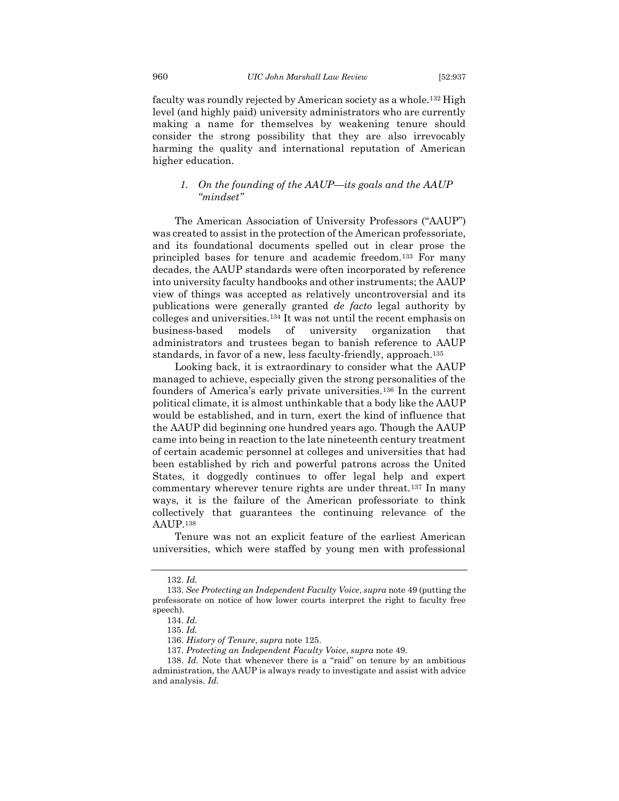faculty was roundly rejected by American society as a whole.<sup>132</sup> High level (and highly paid) university administrators who are currently making a name for themselves by weakening tenure should consider the strong possibility that they are also irrevocably harming the quality and international reputation of American higher education.

#### <span id="page-24-0"></span>*1. On the founding of the AAUP—its goals and the AAUP "mindset"*

The American Association of University Professors ("AAUP") was created to assist in the protection of the American professoriate, and its foundational documents spelled out in clear prose the principled bases for tenure and academic freedom.<sup>133</sup> For many decades, the AAUP standards were often incorporated by reference into university faculty handbooks and other instruments; the AAUP view of things was accepted as relatively uncontroversial and its publications were generally granted *de facto* legal authority by colleges and universities.<sup>134</sup> It was not until the recent emphasis on business-based models of university organization that administrators and trustees began to banish reference to AAUP standards, in favor of a new, less faculty-friendly, approach.<sup>135</sup>

Looking back, it is extraordinary to consider what the AAUP managed to achieve, especially given the strong personalities of the founders of America's early private universities.<sup>136</sup> In the current political climate, it is almost unthinkable that a body like the AAUP would be established, and in turn, exert the kind of influence that the AAUP did beginning one hundred years ago. Though the AAUP came into being in reaction to the late nineteenth century treatment of certain academic personnel at colleges and universities that had been established by rich and powerful patrons across the United States, it doggedly continues to offer legal help and expert commentary wherever tenure rights are under threat.<sup>137</sup> In many ways, it is the failure of the American professoriate to think collectively that guarantees the continuing relevance of the AAUP.<sup>138</sup>

Tenure was not an explicit feature of the earliest American universities, which were staffed by young men with professional

<sup>132.</sup> *Id.* 

<sup>133.</sup> *See Protecting an Independent Faculty Voice*, *supra* not[e 49](#page-10-0) (putting the professorate on notice of how lower courts interpret the right to faculty free speech).

<sup>134.</sup> *Id.*

<sup>135.</sup> *Id.* 

<sup>136.</sup> *History of Tenure*, *supra* not[e 125.](#page-22-0)

<sup>137.</sup> *Protecting an Independent Faculty Voice*, *supra* note [49.](#page-10-0)

<sup>138.</sup> *Id.* Note that whenever there is a "raid" on tenure by an ambitious administration, the AAUP is always ready to investigate and assist with advice and analysis. *Id.*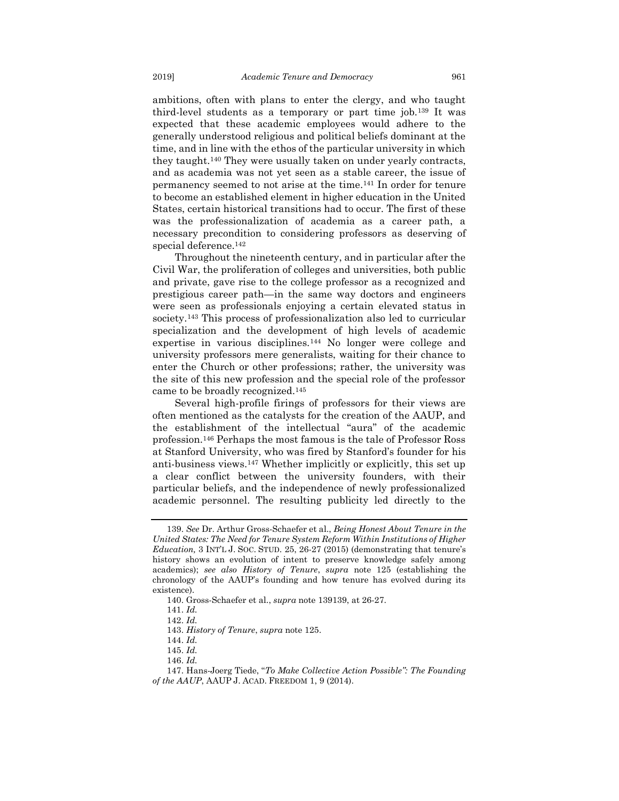<span id="page-25-0"></span>ambitions, often with plans to enter the clergy, and who taught third-level students as a temporary or part time job.<sup>139</sup> It was expected that these academic employees would adhere to the generally understood religious and political beliefs dominant at the time, and in line with the ethos of the particular university in which they taught.<sup>140</sup> They were usually taken on under yearly contracts, and as academia was not yet seen as a stable career, the issue of permanency seemed to not arise at the time. <sup>141</sup> In order for tenure to become an established element in higher education in the United States, certain historical transitions had to occur. The first of these was the professionalization of academia as a career path, a necessary precondition to considering professors as deserving of special deference.<sup>142</sup>

Throughout the nineteenth century, and in particular after the Civil War, the proliferation of colleges and universities, both public and private, gave rise to the college professor as a recognized and prestigious career path—in the same way doctors and engineers were seen as professionals enjoying a certain elevated status in society.<sup>143</sup> This process of professionalization also led to curricular specialization and the development of high levels of academic expertise in various disciplines.<sup>144</sup> No longer were college and university professors mere generalists, waiting for their chance to enter the Church or other professions; rather, the university was the site of this new profession and the special role of the professor came to be broadly recognized.<sup>145</sup>

<span id="page-25-1"></span>Several high-profile firings of professors for their views are often mentioned as the catalysts for the creation of the AAUP, and the establishment of the intellectual "aura" of the academic profession.<sup>146</sup> Perhaps the most famous is the tale of Professor Ross at Stanford University, who was fired by Stanford's founder for his anti-business views.<sup>147</sup> Whether implicitly or explicitly, this set up a clear conflict between the university founders, with their particular beliefs, and the independence of newly professionalized academic personnel. The resulting publicity led directly to the

<sup>139.</sup> *See* Dr. Arthur Gross-Schaefer et al., *Being Honest About Tenure in the United States: The Need for Tenure System Reform Within Institutions of Higher Education,* 3 INT'L J. SOC. STUD. 25, 26-27 (2015) (demonstrating that tenure's history shows an evolution of intent to preserve knowledge safely among academics); *see also History of Tenure*, *supra* note [125](#page-22-0) (establishing the chronology of the AAUP's founding and how tenure has evolved during its existence).

<sup>140.</sup> Gross-Schaefer et al., *supra* not[e 139139,](#page-25-0) at 26-27.

<sup>141.</sup> *Id.*

<sup>142.</sup> *Id.*

<sup>143.</sup> *History of Tenure*, *supra* not[e 125.](#page-22-0)

<sup>144.</sup> *Id.* 

<sup>145.</sup> *Id.*

<sup>146.</sup> *Id.*

<sup>147.</sup> Hans-Joerg Tiede, "*To Make Collective Action Possible": The Founding of the AAUP*, AAUP J. ACAD. FREEDOM 1, 9 (2014).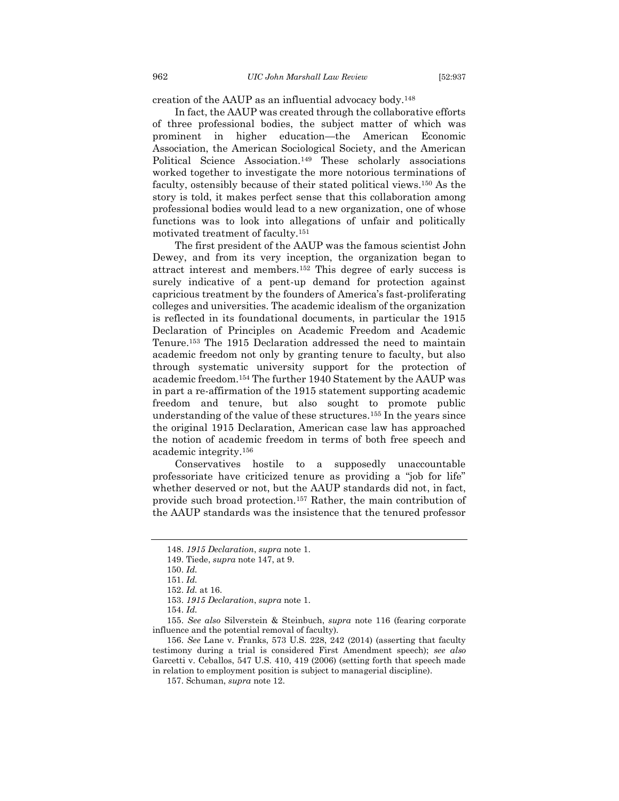creation of the AAUP as an influential advocacy body.<sup>148</sup>

In fact, the AAUP was created through the collaborative efforts of three professional bodies, the subject matter of which was prominent in higher education—the American Economic Association, the American Sociological Society, and the American Political Science Association.<sup>149</sup> These scholarly associations worked together to investigate the more notorious terminations of faculty, ostensibly because of their stated political views.<sup>150</sup> As the story is told, it makes perfect sense that this collaboration among professional bodies would lead to a new organization, one of whose functions was to look into allegations of unfair and politically motivated treatment of faculty.<sup>151</sup>

The first president of the AAUP was the famous scientist John Dewey, and from its very inception, the organization began to attract interest and members.<sup>152</sup> This degree of early success is surely indicative of a pent-up demand for protection against capricious treatment by the founders of America's fast-proliferating colleges and universities. The academic idealism of the organization is reflected in its foundational documents, in particular the 1915 Declaration of Principles on Academic Freedom and Academic Tenure.<sup>153</sup> The 1915 Declaration addressed the need to maintain academic freedom not only by granting tenure to faculty, but also through systematic university support for the protection of academic freedom.<sup>154</sup> The further 1940 Statement by the AAUP was in part a re-affirmation of the 1915 statement supporting academic freedom and tenure, but also sought to promote public understanding of the value of these structures.<sup>155</sup> In the years since the original 1915 Declaration, American case law has approached the notion of academic freedom in terms of both free speech and academic integrity.<sup>156</sup>

Conservatives hostile to a supposedly unaccountable professoriate have criticized tenure as providing a "job for life" whether deserved or not, but the AAUP standards did not, in fact, provide such broad protection.<sup>157</sup> Rather, the main contribution of the AAUP standards was the insistence that the tenured professor

<sup>148.</sup> *1915 Declaration*, *supra* note [1.](#page-2-2)

<sup>149.</sup> Tiede, *supra* note [147,](#page-25-1) at 9.

<sup>150.</sup> *Id.*

<sup>151.</sup> *Id.* 

<sup>152.</sup> *Id.* at 16.

<sup>153.</sup> *1915 Declaration*, *supra* note [1.](#page-2-2)

<sup>154.</sup> *Id.*

<sup>155.</sup> *See also* Silverstein & Steinbuch, *supra* note [116](#page-21-1) (fearing corporate influence and the potential removal of faculty).

<sup>156.</sup> *See* Lane v. Franks, 573 U.S. 228, 242 (2014) (asserting that faculty testimony during a trial is considered First Amendment speech); *see also* Garcetti v. Ceballos, 547 U.S. 410, 419 (2006) (setting forth that speech made in relation to employment position is subject to managerial discipline).

<sup>157.</sup> Schuman, *supra* note [12.](#page-4-2)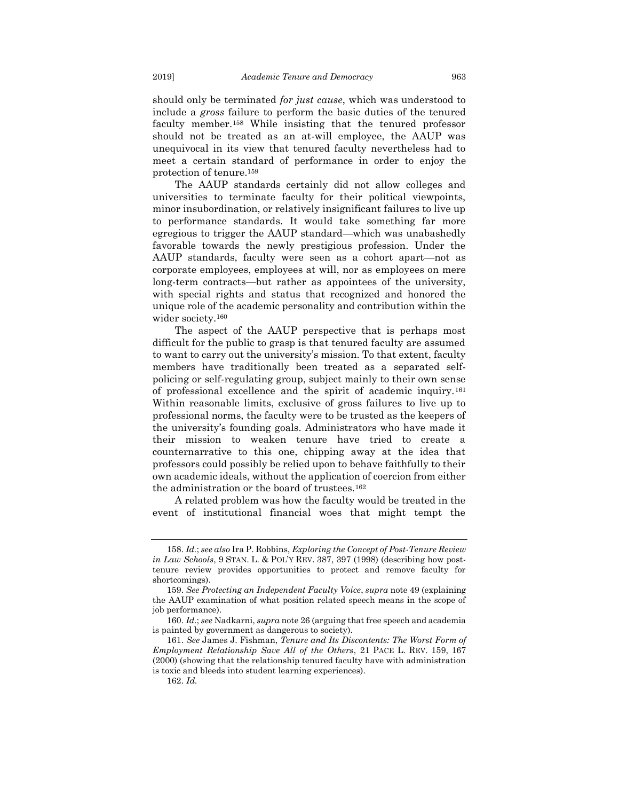<span id="page-27-0"></span>should only be terminated *for just cause*, which was understood to include a *gross* failure to perform the basic duties of the tenured faculty member.<sup>158</sup> While insisting that the tenured professor should not be treated as an at-will employee, the AAUP was unequivocal in its view that tenured faculty nevertheless had to meet a certain standard of performance in order to enjoy the protection of tenure.<sup>159</sup>

The AAUP standards certainly did not allow colleges and universities to terminate faculty for their political viewpoints, minor insubordination, or relatively insignificant failures to live up to performance standards. It would take something far more egregious to trigger the AAUP standard—which was unabashedly favorable towards the newly prestigious profession. Under the AAUP standards, faculty were seen as a cohort apart—not as corporate employees, employees at will, nor as employees on mere long-term contracts—but rather as appointees of the university, with special rights and status that recognized and honored the unique role of the academic personality and contribution within the wider society.<sup>160</sup>

The aspect of the AAUP perspective that is perhaps most difficult for the public to grasp is that tenured faculty are assumed to want to carry out the university's mission. To that extent, faculty members have traditionally been treated as a separated selfpolicing or self-regulating group, subject mainly to their own sense of professional excellence and the spirit of academic inquiry.<sup>161</sup> Within reasonable limits, exclusive of gross failures to live up to professional norms, the faculty were to be trusted as the keepers of the university's founding goals. Administrators who have made it their mission to weaken tenure have tried to create a counternarrative to this one, chipping away at the idea that professors could possibly be relied upon to behave faithfully to their own academic ideals, without the application of coercion from either the administration or the board of trustees.<sup>162</sup>

A related problem was how the faculty would be treated in the event of institutional financial woes that might tempt the

<sup>158.</sup> *Id.*; *see also* Ira P. Robbins, *Exploring the Concept of Post-Tenure Review in Law Schools*, 9 STAN. L. & POL'Y REV. 387, 397 (1998) (describing how posttenure review provides opportunities to protect and remove faculty for shortcomings).

<sup>159.</sup> *See Protecting an Independent Faculty Voice*, *supra* not[e 49](#page-10-0) (explaining the AAUP examination of what position related speech means in the scope of job performance).

<sup>160.</sup> *Id.*; *see* Nadkarni, *supra* not[e 26](#page-6-1) (arguing that free speech and academia is painted by government as dangerous to society).

<sup>161.</sup> *See* James J. Fishman, *Tenure and Its Discontents: The Worst Form of Employment Relationship Save All of the Others*, 21 PACE L. REV. 159, 167 (2000) (showing that the relationship tenured faculty have with administration is toxic and bleeds into student learning experiences).

<sup>162.</sup> *Id.*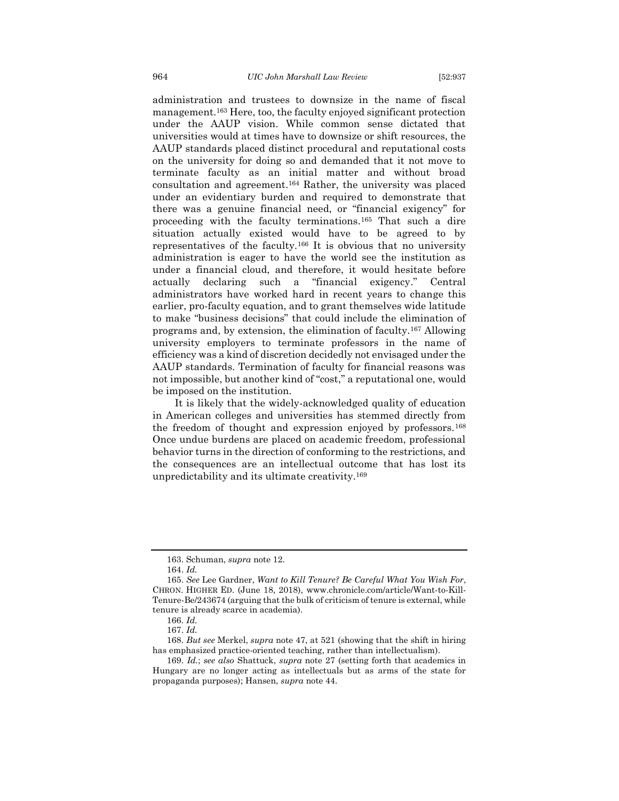administration and trustees to downsize in the name of fiscal management.<sup>163</sup> Here, too, the faculty enjoyed significant protection under the AAUP vision. While common sense dictated that universities would at times have to downsize or shift resources, the AAUP standards placed distinct procedural and reputational costs on the university for doing so and demanded that it not move to terminate faculty as an initial matter and without broad consultation and agreement.<sup>164</sup> Rather, the university was placed under an evidentiary burden and required to demonstrate that there was a genuine financial need, or "financial exigency" for proceeding with the faculty terminations.<sup>165</sup> That such a dire situation actually existed would have to be agreed to by representatives of the faculty.<sup>166</sup> It is obvious that no university administration is eager to have the world see the institution as under a financial cloud, and therefore, it would hesitate before actually declaring such a "financial exigency." Central administrators have worked hard in recent years to change this earlier, pro-faculty equation, and to grant themselves wide latitude to make "business decisions" that could include the elimination of programs and, by extension, the elimination of faculty.<sup>167</sup> Allowing university employers to terminate professors in the name of efficiency was a kind of discretion decidedly not envisaged under the AAUP standards. Termination of faculty for financial reasons was not impossible, but another kind of "cost," a reputational one, would be imposed on the institution.

It is likely that the widely-acknowledged quality of education in American colleges and universities has stemmed directly from the freedom of thought and expression enjoyed by professors.<sup>168</sup> Once undue burdens are placed on academic freedom, professional behavior turns in the direction of conforming to the restrictions, and the consequences are an intellectual outcome that has lost its unpredictability and its ultimate creativity.<sup>169</sup>

<sup>163.</sup> Schuman, *supra* note [12.](#page-4-2)

<sup>164.</sup> *Id.* 

<sup>165.</sup> *See* Lee Gardner, *Want to Kill Tenure? Be Careful What You Wish For*, CHRON. HIGHER ED. (June 18, 2018), www.chronicle.com/article/Want-to-Kill-Tenure-Be/243674 (arguing that the bulk of criticism of tenure is external, while tenure is already scarce in academia).

<sup>166.</sup> *Id.*

<sup>167.</sup> *Id.*

<sup>168.</sup> *But see* Merkel, *supra* not[e 47,](#page-9-0) at 521 (showing that the shift in hiring has emphasized practice-oriented teaching, rather than intellectualism).

<sup>169.</sup> *Id.*; *see also* Shattuck, *supra* note [27](#page-7-2) (setting forth that academics in Hungary are no longer acting as intellectuals but as arms of the state for propaganda purposes); Hansen, *supra* note [44.](#page-9-1)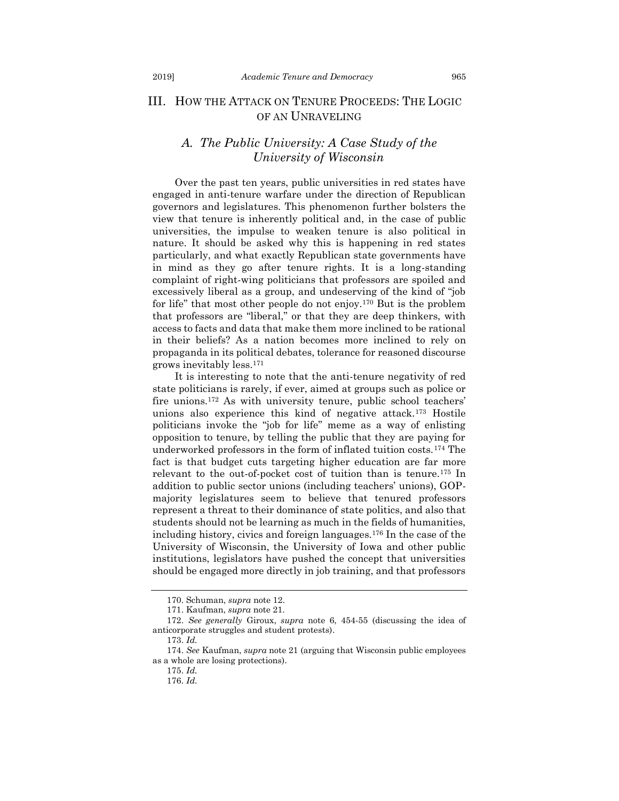## <span id="page-29-0"></span>III. HOW THE ATTACK ON TENURE PROCEEDS: THE LOGIC OF AN UNRAVELING

# <span id="page-29-1"></span>*A. The Public University: A Case Study of the University of Wisconsin*

Over the past ten years, public universities in red states have engaged in anti-tenure warfare under the direction of Republican governors and legislatures. This phenomenon further bolsters the view that tenure is inherently political and, in the case of public universities, the impulse to weaken tenure is also political in nature. It should be asked why this is happening in red states particularly, and what exactly Republican state governments have in mind as they go after tenure rights. It is a long-standing complaint of right-wing politicians that professors are spoiled and excessively liberal as a group, and undeserving of the kind of "job for life" that most other people do not enjoy.<sup>170</sup> But is the problem that professors are "liberal," or that they are deep thinkers, with access to facts and data that make them more inclined to be rational in their beliefs? As a nation becomes more inclined to rely on propaganda in its political debates, tolerance for reasoned discourse grows inevitably less.<sup>171</sup>

It is interesting to note that the anti-tenure negativity of red state politicians is rarely, if ever, aimed at groups such as police or fire unions.<sup>172</sup> As with university tenure, public school teachers' unions also experience this kind of negative attack.<sup>173</sup> Hostile politicians invoke the "job for life" meme as a way of enlisting opposition to tenure, by telling the public that they are paying for underworked professors in the form of inflated tuition costs.<sup>174</sup> The fact is that budget cuts targeting higher education are far more relevant to the out-of-pocket cost of tuition than is tenure.<sup>175</sup> In addition to public sector unions (including teachers' unions), GOPmajority legislatures seem to believe that tenured professors represent a threat to their dominance of state politics, and also that students should not be learning as much in the fields of humanities, including history, civics and foreign languages.<sup>176</sup> In the case of the University of Wisconsin, the University of Iowa and other public institutions, legislators have pushed the concept that universities should be engaged more directly in job training, and that professors

<sup>170.</sup> Schuman, *supra* note [12.](#page-4-2)

<sup>171.</sup> Kaufman, *supra* not[e 21.](#page-6-0)

<sup>172.</sup> *See generally* Giroux, *supra* note [6,](#page-3-0) 454-55 (discussing the idea of anticorporate struggles and student protests).

<sup>173.</sup> *Id.*

<sup>174.</sup> *See* Kaufman, *supra* not[e 21](#page-6-0) (arguing that Wisconsin public employees as a whole are losing protections).

<sup>175.</sup> *Id.*

<sup>176.</sup> *Id.*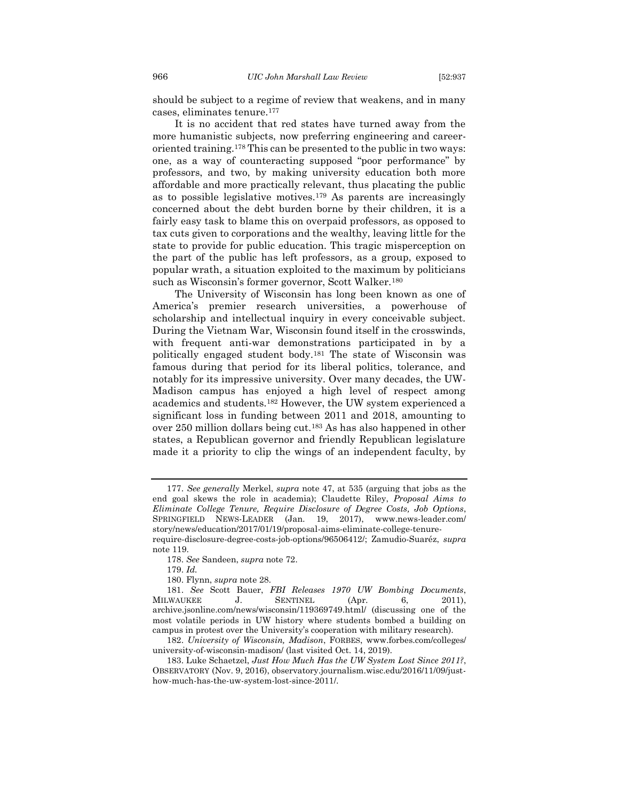should be subject to a regime of review that weakens, and in many cases, eliminates tenure.<sup>177</sup>

It is no accident that red states have turned away from the more humanistic subjects, now preferring engineering and careeroriented training.<sup>178</sup> This can be presented to the public in two ways: one, as a way of counteracting supposed "poor performance" by professors, and two, by making university education both more affordable and more practically relevant, thus placating the public as to possible legislative motives.<sup>179</sup> As parents are increasingly concerned about the debt burden borne by their children, it is a fairly easy task to blame this on overpaid professors, as opposed to tax cuts given to corporations and the wealthy, leaving little for the state to provide for public education. This tragic misperception on the part of the public has left professors, as a group, exposed to popular wrath, a situation exploited to the maximum by politicians such as Wisconsin's former governor, Scott Walker.<sup>180</sup>

The University of Wisconsin has long been known as one of America's premier research universities, a powerhouse of scholarship and intellectual inquiry in every conceivable subject. During the Vietnam War, Wisconsin found itself in the crosswinds, with frequent anti-war demonstrations participated in by a politically engaged student body.<sup>181</sup> The state of Wisconsin was famous during that period for its liberal politics, tolerance, and notably for its impressive university. Over many decades, the UW-Madison campus has enjoyed a high level of respect among academics and students.<sup>182</sup> However, the UW system experienced a significant loss in funding between 2011 and 2018, amounting to over 250 million dollars being cut.<sup>183</sup> As has also happened in other states, a Republican governor and friendly Republican legislature made it a priority to clip the wings of an independent faculty, by

<sup>177.</sup> *See generally* Merkel, *supra* note [47,](#page-9-0) at 535 (arguing that jobs as the end goal skews the role in academia); Claudette Riley, *Proposal Aims to Eliminate College Tenure, Require Disclosure of Degree Costs, Job Options*, SPRINGFIELD NEWS-LEADER (Jan. 19, 2017), www.news-leader.com/ story/news/education/2017/01/19/proposal-aims-eliminate-college-tenurerequire-disclosure-degree-costs-job-options/96506412/; Zamudio-Suaréz, *supra*

not[e 119.](#page-21-0)

<sup>178.</sup> *See* Sandeen, *supra* not[e 72.](#page-14-0)

<sup>179.</sup> *Id.*

<sup>180.</sup> Flynn, *supra* not[e 28.](#page-7-0)

<sup>181.</sup> *See* Scott Bauer, *FBI Releases 1970 UW Bombing Documents*, MILWAUKEE J. SENTINEL (Apr. 6, 2011), archive.jsonline.com/news/wisconsin/119369749.html/ (discussing one of the most volatile periods in UW history where students bombed a building on campus in protest over the University's cooperation with military research).

<sup>182.</sup> *University of Wisconsin, Madison*, FORBES, www.forbes.com/colleges/ university-of-wisconsin-madison/ (last visited Oct. 14, 2019).

<sup>183.</sup> Luke Schaetzel, *Just How Much Has the UW System Lost Since 2011?*, OBSERVATORY (Nov. 9, 2016), observatory.journalism.wisc.edu/2016/11/09/justhow-much-has-the-uw-system-lost-since-2011/.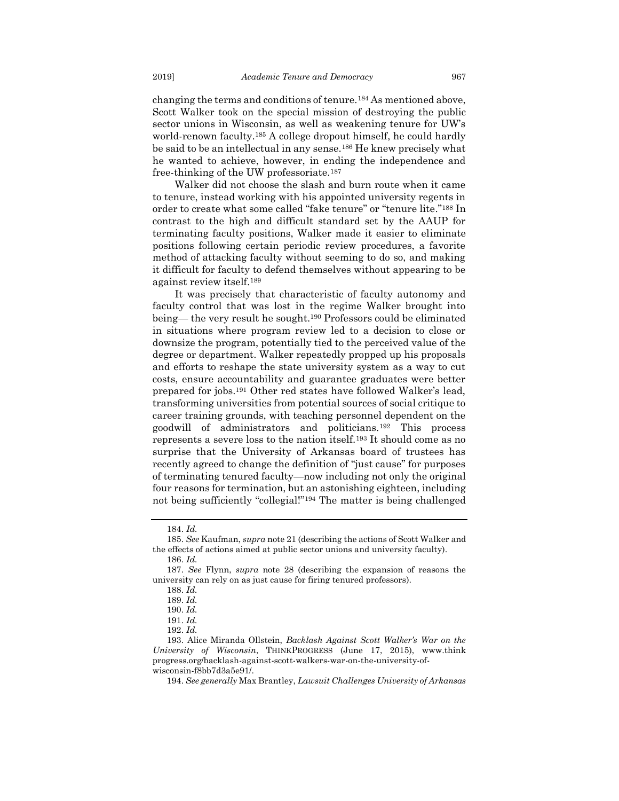changing the terms and conditions of tenure.<sup>184</sup> As mentioned above, Scott Walker took on the special mission of destroying the public sector unions in Wisconsin, as well as weakening tenure for UW's world-renown faculty.<sup>185</sup> A college dropout himself, he could hardly be said to be an intellectual in any sense.<sup>186</sup> He knew precisely what he wanted to achieve, however, in ending the independence and free-thinking of the UW professoriate.<sup>187</sup>

Walker did not choose the slash and burn route when it came to tenure, instead working with his appointed university regents in order to create what some called "fake tenure" or "tenure lite." <sup>188</sup> In contrast to the high and difficult standard set by the AAUP for terminating faculty positions, Walker made it easier to eliminate positions following certain periodic review procedures, a favorite method of attacking faculty without seeming to do so, and making it difficult for faculty to defend themselves without appearing to be against review itself.<sup>189</sup>

It was precisely that characteristic of faculty autonomy and faculty control that was lost in the regime Walker brought into being— the very result he sought.<sup>190</sup> Professors could be eliminated in situations where program review led to a decision to close or downsize the program, potentially tied to the perceived value of the degree or department. Walker repeatedly propped up his proposals and efforts to reshape the state university system as a way to cut costs, ensure accountability and guarantee graduates were better prepared for jobs.<sup>191</sup> Other red states have followed Walker's lead, transforming universities from potential sources of social critique to career training grounds, with teaching personnel dependent on the goodwill of administrators and politicians.<sup>192</sup> This process represents a severe loss to the nation itself.<sup>193</sup> It should come as no surprise that the University of Arkansas board of trustees has recently agreed to change the definition of "just cause" for purposes of terminating tenured faculty—now including not only the original four reasons for termination, but an astonishing eighteen, including not being sufficiently "collegial!"<sup>194</sup> The matter is being challenged

<sup>184.</sup> *Id.*

<sup>185.</sup> *See* Kaufman, *supra* not[e 21](#page-6-0) (describing the actions of Scott Walker and the effects of actions aimed at public sector unions and university faculty).

<sup>186.</sup> *Id.*

<sup>187.</sup> *See* Flynn, *supra* note [28](#page-7-0) (describing the expansion of reasons the university can rely on as just cause for firing tenured professors).

<sup>188.</sup> *Id.*

<sup>189.</sup> *Id.*

<sup>190.</sup> *Id.*

<sup>191.</sup> *Id.*

<sup>192.</sup> *Id.*

<sup>193.</sup> Alice Miranda Ollstein, *Backlash Against Scott Walker's War on the University of Wisconsin*, THINKPROGRESS (June 17, 2015), www.think progress.org/backlash-against-scott-walkers-war-on-the-university-ofwisconsin-f8bb7d3a5e91/.

<sup>194.</sup> *See generally* Max Brantley, *Lawsuit Challenges University of Arkansas*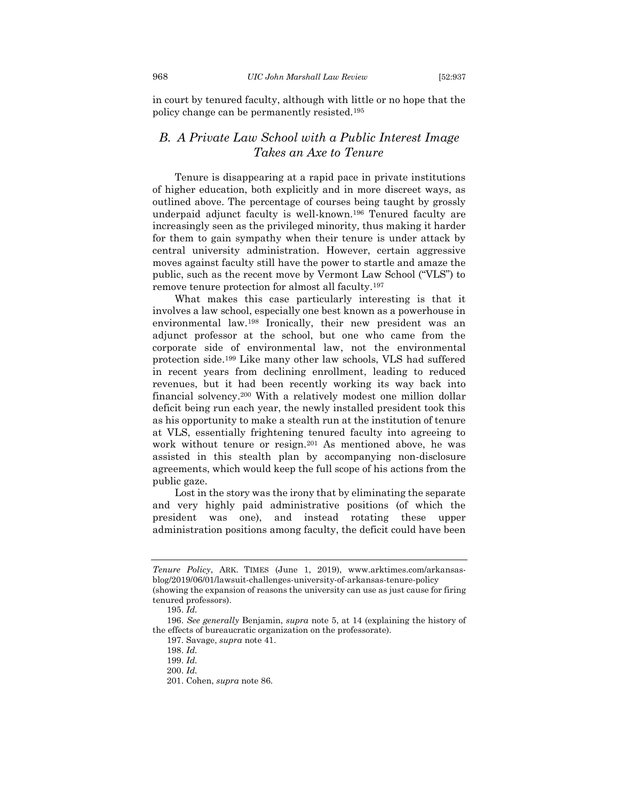in court by tenured faculty, although with little or no hope that the policy change can be permanently resisted.<sup>195</sup>

# <span id="page-32-0"></span>*B. A Private Law School with a Public Interest Image Takes an Axe to Tenure*

Tenure is disappearing at a rapid pace in private institutions of higher education, both explicitly and in more discreet ways, as outlined above. The percentage of courses being taught by grossly underpaid adjunct faculty is well-known.<sup>196</sup> Tenured faculty are increasingly seen as the privileged minority, thus making it harder for them to gain sympathy when their tenure is under attack by central university administration. However, certain aggressive moves against faculty still have the power to startle and amaze the public, such as the recent move by Vermont Law School ("VLS") to remove tenure protection for almost all faculty.<sup>197</sup>

What makes this case particularly interesting is that it involves a law school, especially one best known as a powerhouse in environmental law.<sup>198</sup> Ironically, their new president was an adjunct professor at the school, but one who came from the corporate side of environmental law, not the environmental protection side.<sup>199</sup> Like many other law schools, VLS had suffered in recent years from declining enrollment, leading to reduced revenues, but it had been recently working its way back into financial solvency. <sup>200</sup> With a relatively modest one million dollar deficit being run each year, the newly installed president took this as his opportunity to make a stealth run at the institution of tenure at VLS, essentially frightening tenured faculty into agreeing to work without tenure or resign.<sup>201</sup> As mentioned above, he was assisted in this stealth plan by accompanying non-disclosure agreements, which would keep the full scope of his actions from the public gaze.

Lost in the story was the irony that by eliminating the separate and very highly paid administrative positions (of which the president was one), and instead rotating these upper administration positions among faculty, the deficit could have been

*Tenure Policy*, ARK. TIMES (June 1, 2019), www.arktimes.com/arkansasblog/2019/06/01/lawsuit-challenges-university-of-arkansas-tenure-policy (showing the expansion of reasons the university can use as just cause for firing

tenured professors).

<sup>195.</sup> *Id.* 

<sup>196.</sup> *See generally* Benjamin, *supra* not[e 5,](#page-3-1) at 14 (explaining the history of the effects of bureaucratic organization on the professorate).

<sup>197.</sup> Savage, *supra* not[e 41.](#page-8-0)

<sup>198.</sup> *Id.*

<sup>199.</sup> *Id.*

<sup>200.</sup> *Id.*

<sup>201.</sup> Cohen, *supra* note [86.](#page-17-1)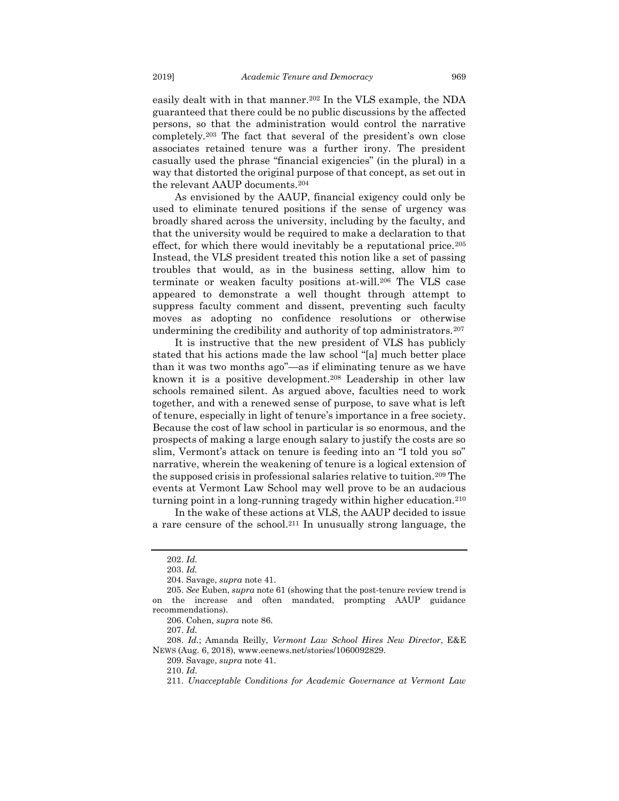easily dealt with in that manner.<sup>202</sup> In the VLS example, the NDA guaranteed that there could be no public discussions by the affected persons, so that the administration would control the narrative completely.<sup>203</sup> The fact that several of the president's own close associates retained tenure was a further irony. The president casually used the phrase "financial exigencies" (in the plural) in a way that distorted the original purpose of that concept, as set out in the relevant AAUP documents.<sup>204</sup>

As envisioned by the AAUP, financial exigency could only be used to eliminate tenured positions if the sense of urgency was broadly shared across the university, including by the faculty, and that the university would be required to make a declaration to that effect, for which there would inevitably be a reputational price.<sup>205</sup> Instead, the VLS president treated this notion like a set of passing troubles that would, as in the business setting, allow him to terminate or weaken faculty positions at-will.<sup>206</sup> The VLS case appeared to demonstrate a well thought through attempt to suppress faculty comment and dissent, preventing such faculty moves as adopting no confidence resolutions or otherwise undermining the credibility and authority of top administrators.<sup>207</sup>

It is instructive that the new president of VLS has publicly stated that his actions made the law school "[a] much better place than it was two months ago"—as if eliminating tenure as we have known it is a positive development.<sup>208</sup> Leadership in other law schools remained silent. As argued above, faculties need to work together, and with a renewed sense of purpose, to save what is left of tenure, especially in light of tenure's importance in a free society. Because the cost of law school in particular is so enormous, and the prospects of making a large enough salary to justify the costs are so slim, Vermont's attack on tenure is feeding into an "I told you so" narrative, wherein the weakening of tenure is a logical extension of the supposed crisis in professional salaries relative to tuition.<sup>209</sup> The events at Vermont Law School may well prove to be an audacious turning point in a long-running tragedy within higher education.<sup>210</sup>

In the wake of these actions at VLS, the AAUP decided to issue a rare censure of the school.<sup>211</sup> In unusually strong language, the

<sup>202.</sup> *Id.* 

<sup>203.</sup> *Id.*

<sup>204.</sup> Savage, *supra* not[e 41.](#page-8-0)

<sup>205.</sup> *See* Euben, *supra* note [61](#page-12-0) (showing that the post-tenure review trend is on the increase and often mandated, prompting AAUP guidance recommendations).

<sup>206.</sup> Cohen, *supra* note [86.](#page-17-1)

<sup>207.</sup> *Id.*

<sup>208.</sup> *Id.*; Amanda Reilly, *Vermont Law School Hires New Director*, E&E NEWS (Aug. 6, 2018), www.eenews.net/stories/1060092829.

<sup>209.</sup> Savage, *supra* not[e 41.](#page-8-0)

<sup>210.</sup> *Id*.

<sup>211.</sup> *Unacceptable Conditions for Academic Governance at Vermont Law*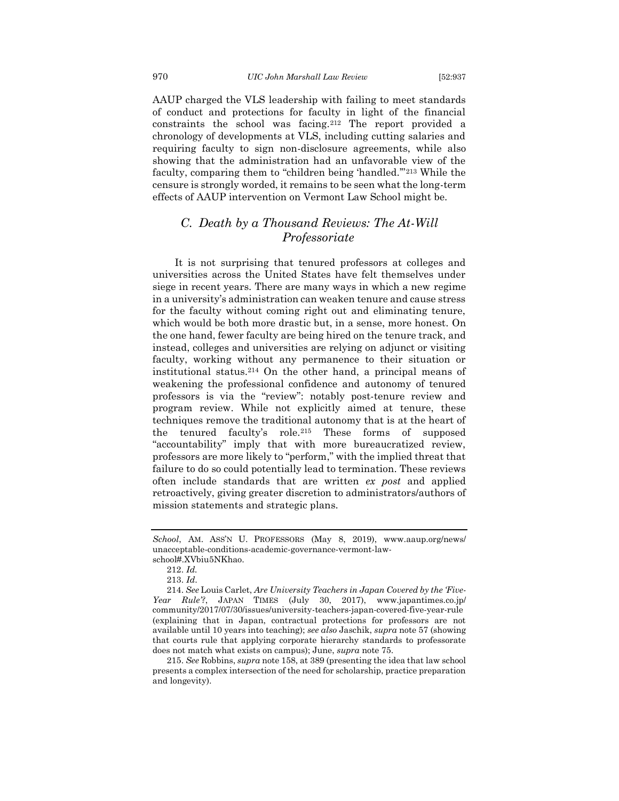AAUP charged the VLS leadership with failing to meet standards of conduct and protections for faculty in light of the financial constraints the school was facing.<sup>212</sup> The report provided a chronology of developments at VLS, including cutting salaries and requiring faculty to sign non-disclosure agreements, while also showing that the administration had an unfavorable view of the faculty, comparing them to "children being 'handled.'"<sup>213</sup> While the censure is strongly worded, it remains to be seen what the long-term effects of AAUP intervention on Vermont Law School might be.

# <span id="page-34-0"></span>*C. Death by a Thousand Reviews: The At-Will Professoriate*

<span id="page-34-1"></span>It is not surprising that tenured professors at colleges and universities across the United States have felt themselves under siege in recent years. There are many ways in which a new regime in a university's administration can weaken tenure and cause stress for the faculty without coming right out and eliminating tenure, which would be both more drastic but, in a sense, more honest. On the one hand, fewer faculty are being hired on the tenure track, and instead, colleges and universities are relying on adjunct or visiting faculty, working without any permanence to their situation or institutional status.<sup>214</sup> On the other hand, a principal means of weakening the professional confidence and autonomy of tenured professors is via the "review": notably post-tenure review and program review. While not explicitly aimed at tenure, these techniques remove the traditional autonomy that is at the heart of the tenured faculty's role.<sup>215</sup> These forms of supposed "accountability" imply that with more bureaucratized review, professors are more likely to "perform," with the implied threat that failure to do so could potentially lead to termination. These reviews often include standards that are written *ex post* and applied retroactively, giving greater discretion to administrators/authors of mission statements and strategic plans.

*School*, AM. ASS'N U. PROFESSORS (May 8, 2019), www.aaup.org/news/ unacceptable-conditions-academic-governance-vermont-law-

school#.XVbiu5NKhao. 212. *Id.*

<sup>213.</sup> *Id*.

<sup>214.</sup> *See* Louis Carlet, *Are University Teachers in Japan Covered by the 'Five-Year Rule'?*, JAPAN TIMES (July 30, 2017), www.japantimes.co.jp/ community/2017/07/30/issues/university-teachers-japan-covered-five-year-rule (explaining that in Japan, contractual protections for professors are not available until 10 years into teaching); *see also* Jaschik, *supra* note [57](#page-12-2) (showing that courts rule that applying corporate hierarchy standards to professorate does not match what exists on campus); June, *supra* not[e 75.](#page-15-1)

<sup>215.</sup> *See* Robbins, *supra* note [158,](#page-27-0) at 389 (presenting the idea that law school presents a complex intersection of the need for scholarship, practice preparation and longevity).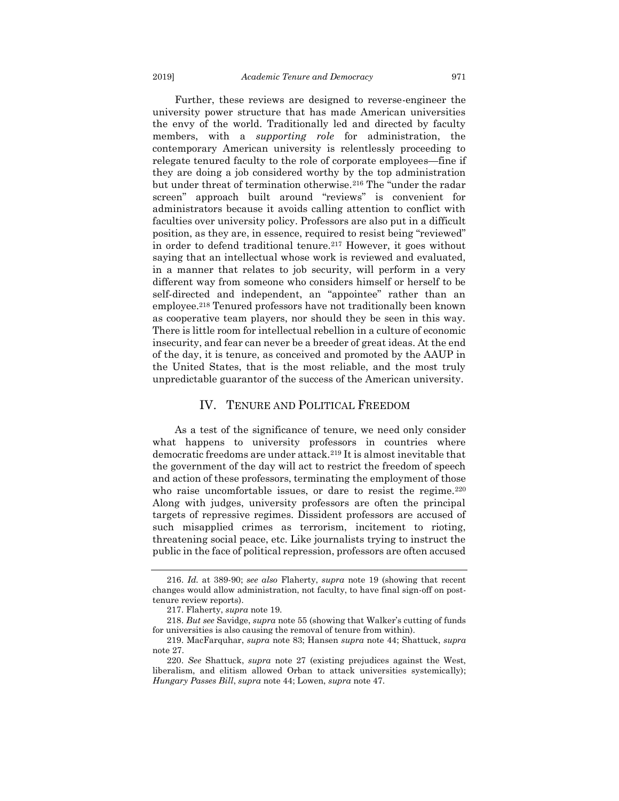Further, these reviews are designed to reverse-engineer the university power structure that has made American universities the envy of the world. Traditionally led and directed by faculty members, with a *supporting role* for administration, the contemporary American university is relentlessly proceeding to relegate tenured faculty to the role of corporate employees—fine if they are doing a job considered worthy by the top administration but under threat of termination otherwise.<sup>216</sup> The "under the radar screen" approach built around "reviews" is convenient for administrators because it avoids calling attention to conflict with faculties over university policy. Professors are also put in a difficult position, as they are, in essence, required to resist being "reviewed" in order to defend traditional tenure.<sup>217</sup> However, it goes without saying that an intellectual whose work is reviewed and evaluated, in a manner that relates to job security, will perform in a very different way from someone who considers himself or herself to be self-directed and independent, an "appointee" rather than an employee.<sup>218</sup> Tenured professors have not traditionally been known as cooperative team players, nor should they be seen in this way. There is little room for intellectual rebellion in a culture of economic insecurity, and fear can never be a breeder of great ideas. At the end of the day, it is tenure, as conceived and promoted by the AAUP in the United States, that is the most reliable, and the most truly unpredictable guarantor of the success of the American university.

#### IV. TENURE AND POLITICAL FREEDOM

<span id="page-35-0"></span>As a test of the significance of tenure, we need only consider what happens to university professors in countries where democratic freedoms are under attack.<sup>219</sup> It is almost inevitable that the government of the day will act to restrict the freedom of speech and action of these professors, terminating the employment of those who raise uncomfortable issues, or dare to resist the regime.<sup>220</sup> Along with judges, university professors are often the principal targets of repressive regimes. Dissident professors are accused of such misapplied crimes as terrorism, incitement to rioting, threatening social peace, etc. Like journalists trying to instruct the public in the face of political repression, professors are often accused

<sup>216.</sup> *Id.* at 389-90; *see also* Flaherty, *supra* note [19](#page-5-0) (showing that recent changes would allow administration, not faculty, to have final sign-off on posttenure review reports).

<sup>217.</sup> Flaherty, *supra* note [19.](#page-5-0)

<sup>218.</sup> *But see* Savidge, *supra* not[e 55](#page-11-0) (showing that Walker's cutting of funds for universities is also causing the removal of tenure from within).

<sup>219.</sup> MacFarquhar, *supra* note [83;](#page-16-0) Hansen *supra* note [44;](#page-9-1) Shattuck, *supra* note [27.](#page-7-2)

<sup>220.</sup> *See* Shattuck, *supra* note [27](#page-7-2) (existing prejudices against the West, liberalism, and elitism allowed Orban to attack universities systemically); *Hungary Passes Bill*, *supra* note [44;](#page-9-1) Lowen, *supra* note [47.](#page-9-0)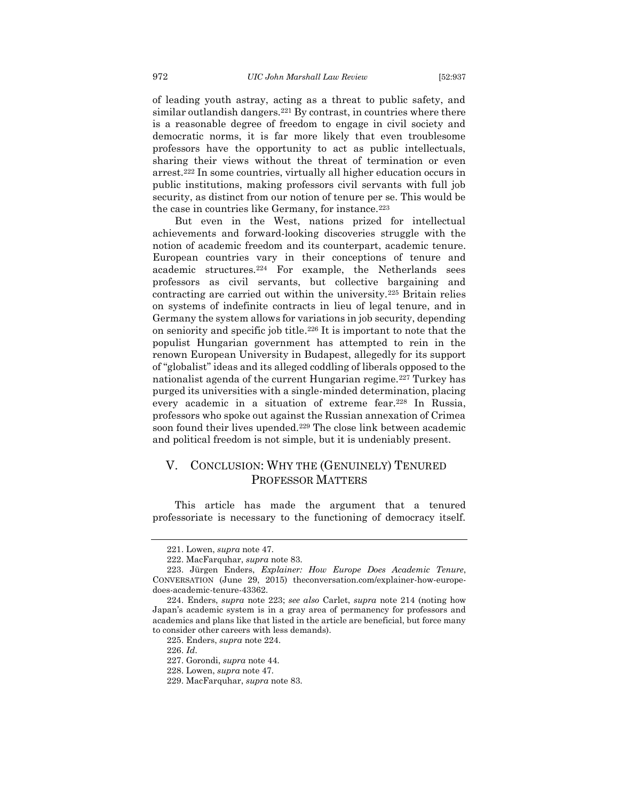of leading youth astray, acting as a threat to public safety, and similar outlandish dangers.<sup>221</sup> By contrast, in countries where there is a reasonable degree of freedom to engage in civil society and democratic norms, it is far more likely that even troublesome professors have the opportunity to act as public intellectuals, sharing their views without the threat of termination or even arrest.<sup>222</sup> In some countries, virtually all higher education occurs in public institutions, making professors civil servants with full job security, as distinct from our notion of tenure per se. This would be the case in countries like Germany, for instance.<sup>223</sup>

<span id="page-36-1"></span>But even in the West, nations prized for intellectual achievements and forward-looking discoveries struggle with the notion of academic freedom and its counterpart, academic tenure. European countries vary in their conceptions of tenure and academic structures.<sup>224</sup> For example, the Netherlands sees professors as civil servants, but collective bargaining and contracting are carried out within the university.<sup>225</sup> Britain relies on systems of indefinite contracts in lieu of legal tenure, and in Germany the system allows for variations in job security, depending on seniority and specific job title. <sup>226</sup> It is important to note that the populist Hungarian government has attempted to rein in the renown European University in Budapest, allegedly for its support of "globalist" ideas and its alleged coddling of liberals opposed to the nationalist agenda of the current Hungarian regime.<sup>227</sup> Turkey has purged its universities with a single-minded determination, placing every academic in a situation of extreme fear.<sup>228</sup> In Russia, professors who spoke out against the Russian annexation of Crimea soon found their lives upended.<sup>229</sup> The close link between academic and political freedom is not simple, but it is undeniably present.

# <span id="page-36-0"></span>V. CONCLUSION: WHY THE (GENUINELY) TENURED PROFESSOR MATTERS

This article has made the argument that a tenured professoriate is necessary to the functioning of democracy itself.

<sup>221.</sup> Lowen, *supra* note [47.](#page-9-0)

<sup>222.</sup> MacFarquhar, *supra* not[e 83.](#page-16-0)

<sup>223.</sup> Jürgen Enders, *Explainer: How Europe Does Academic Tenure*, CONVERSATION (June 29, 2015) theconversation.com/explainer-how-europedoes-academic-tenure-43362.

<sup>224.</sup> Enders, *supra* note 223; *see also* Carlet, *supra* note [214](#page-34-1) (noting how Japan's academic system is in a gray area of permanency for professors and academics and plans like that listed in the article are beneficial, but force many to consider other careers with less demands).

<sup>225.</sup> Enders, *supra* note [224.](#page-36-1)

<sup>226.</sup> *Id*.

<sup>227.</sup> Gorondi, *supra* not[e 44.](#page-9-1)

<sup>228.</sup> Lowen, *supra* note [47.](#page-9-0)

<sup>229.</sup> MacFarquhar, *supra* not[e 83.](#page-16-0)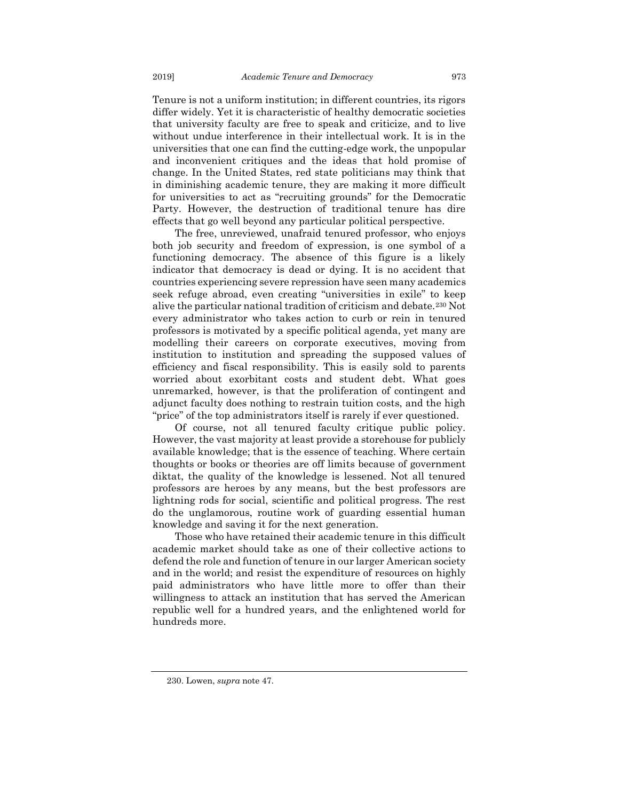Tenure is not a uniform institution; in different countries, its rigors differ widely. Yet it is characteristic of healthy democratic societies that university faculty are free to speak and criticize, and to live without undue interference in their intellectual work. It is in the universities that one can find the cutting-edge work, the unpopular and inconvenient critiques and the ideas that hold promise of change. In the United States, red state politicians may think that in diminishing academic tenure, they are making it more difficult for universities to act as "recruiting grounds" for the Democratic Party. However, the destruction of traditional tenure has dire effects that go well beyond any particular political perspective.

The free, unreviewed, unafraid tenured professor, who enjoys both job security and freedom of expression, is one symbol of a functioning democracy. The absence of this figure is a likely indicator that democracy is dead or dying. It is no accident that countries experiencing severe repression have seen many academics seek refuge abroad, even creating "universities in exile" to keep alive the particular national tradition of criticism and debate.<sup>230</sup> Not every administrator who takes action to curb or rein in tenured professors is motivated by a specific political agenda, yet many are modelling their careers on corporate executives, moving from institution to institution and spreading the supposed values of efficiency and fiscal responsibility. This is easily sold to parents worried about exorbitant costs and student debt. What goes unremarked, however, is that the proliferation of contingent and adjunct faculty does nothing to restrain tuition costs, and the high "price" of the top administrators itself is rarely if ever questioned.

Of course, not all tenured faculty critique public policy. However, the vast majority at least provide a storehouse for publicly available knowledge; that is the essence of teaching. Where certain thoughts or books or theories are off limits because of government diktat, the quality of the knowledge is lessened. Not all tenured professors are heroes by any means, but the best professors are lightning rods for social, scientific and political progress. The rest do the unglamorous, routine work of guarding essential human knowledge and saving it for the next generation.

Those who have retained their academic tenure in this difficult academic market should take as one of their collective actions to defend the role and function of tenure in our larger American society and in the world; and resist the expenditure of resources on highly paid administrators who have little more to offer than their willingness to attack an institution that has served the American republic well for a hundred years, and the enlightened world for hundreds more.

<sup>230.</sup> Lowen, *supra* note [47.](#page-9-0)